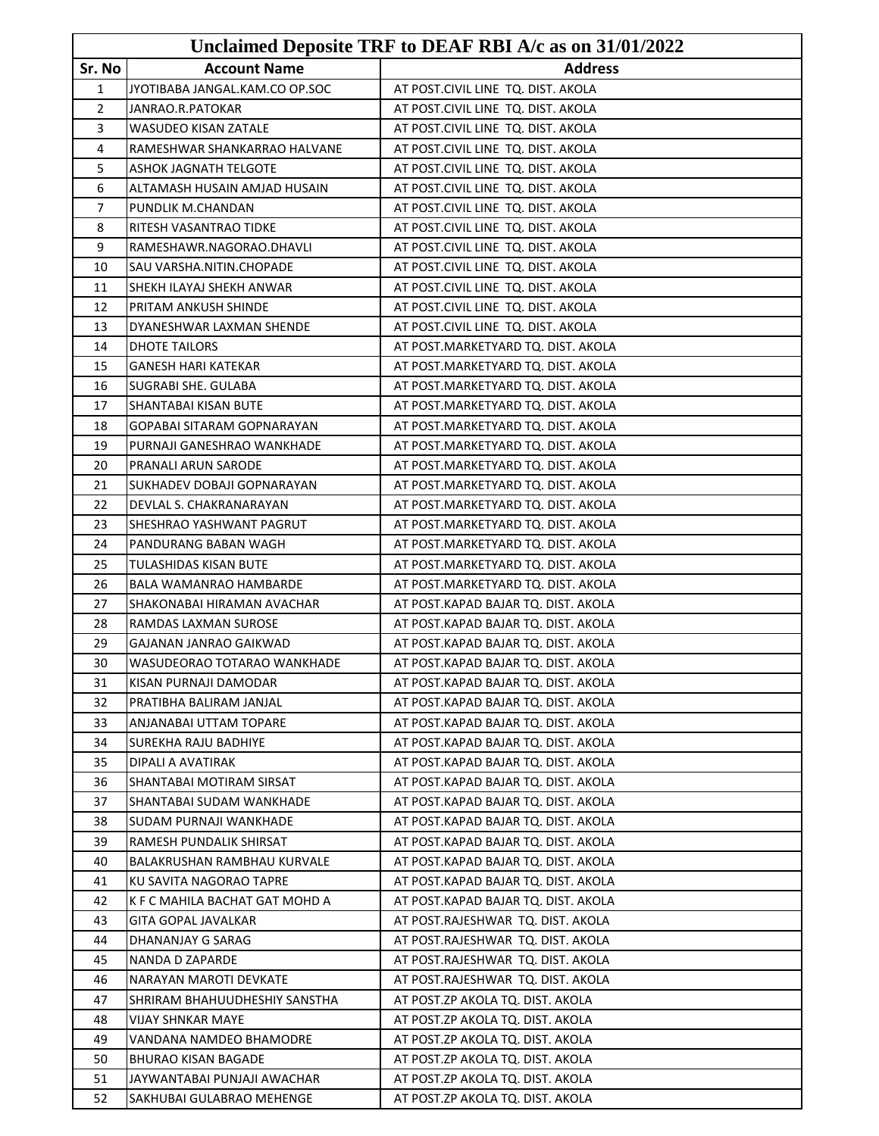|              |                                | Unclaimed Deposite TRF to DEAF RBI A/c as on 31/01/2022 |
|--------------|--------------------------------|---------------------------------------------------------|
| Sr. No       | <b>Account Name</b>            | <b>Address</b>                                          |
| $\mathbf{1}$ | JYOTIBABA JANGAL.KAM.CO OP.SOC | AT POST.CIVIL LINE TQ. DIST. AKOLA                      |
| 2            | JANRAO.R.PATOKAR               | AT POST.CIVIL LINE TQ. DIST. AKOLA                      |
| 3            | <b>WASUDEO KISAN ZATALE</b>    | AT POST.CIVIL LINE TQ. DIST. AKOLA                      |
| 4            | RAMESHWAR SHANKARRAO HALVANE   | AT POST.CIVIL LINE TQ. DIST. AKOLA                      |
| 5            | <b>ASHOK JAGNATH TELGOTE</b>   | AT POST.CIVIL LINE TQ. DIST. AKOLA                      |
| 6            | ALTAMASH HUSAIN AMJAD HUSAIN   | AT POST.CIVIL LINE TQ. DIST. AKOLA                      |
| 7            | PUNDLIK M.CHANDAN              | AT POST.CIVIL LINE TQ. DIST. AKOLA                      |
| 8            | RITESH VASANTRAO TIDKE         | AT POST.CIVIL LINE TQ. DIST. AKOLA                      |
| 9            | RAMESHAWR.NAGORAO.DHAVLI       | AT POST.CIVIL LINE TQ. DIST. AKOLA                      |
| 10           | SAU VARSHA.NITIN.CHOPADE       | AT POST.CIVIL LINE TQ. DIST. AKOLA                      |
| 11           | SHEKH ILAYAJ SHEKH ANWAR       | AT POST.CIVIL LINE TQ. DIST. AKOLA                      |
| 12           | PRITAM ANKUSH SHINDE           | AT POST.CIVIL LINE TQ. DIST. AKOLA                      |
| 13           | DYANESHWAR LAXMAN SHENDE       | AT POST.CIVIL LINE TQ. DIST. AKOLA                      |
| 14           | DHOTE TAILORS                  | AT POST.MARKETYARD TQ. DIST. AKOLA                      |
| 15           | <b>GANESH HARI KATEKAR</b>     | AT POST.MARKETYARD TQ. DIST. AKOLA                      |
| 16           | SUGRABI SHE. GULABA            | AT POST.MARKETYARD TQ. DIST. AKOLA                      |
| 17           | SHANTABAI KISAN BUTE           | AT POST.MARKETYARD TQ. DIST. AKOLA                      |
| 18           | GOPABAI SITARAM GOPNARAYAN     | AT POST.MARKETYARD TQ. DIST. AKOLA                      |
| 19           | PURNAJI GANESHRAO WANKHADE     | AT POST.MARKETYARD TQ. DIST. AKOLA                      |
| 20           | PRANALI ARUN SARODE            | AT POST.MARKETYARD TQ. DIST. AKOLA                      |
| 21           | SUKHADEV DOBAJI GOPNARAYAN     | AT POST.MARKETYARD TQ. DIST. AKOLA                      |
| 22           | DEVLAL S. CHAKRANARAYAN        | AT POST.MARKETYARD TQ. DIST. AKOLA                      |
| 23           | SHESHRAO YASHWANT PAGRUT       | AT POST.MARKETYARD TQ. DIST. AKOLA                      |
| 24           | PANDURANG BABAN WAGH           | AT POST.MARKETYARD TQ. DIST. AKOLA                      |
| 25           | TULASHIDAS KISAN BUTE          | AT POST.MARKETYARD TQ. DIST. AKOLA                      |
| 26           | BALA WAMANRAO HAMBARDE         | AT POST.MARKETYARD TQ. DIST. AKOLA                      |
| 27           | SHAKONABAI HIRAMAN AVACHAR     | AT POST.KAPAD BAJAR TQ. DIST. AKOLA                     |
| 28           | RAMDAS LAXMAN SUROSE           | AT POST.KAPAD BAJAR TQ. DIST. AKOLA                     |
| 29           | GAJANAN JANRAO GAIKWAD         | AT POST.KAPAD BAJAR TQ. DIST. AKOLA                     |
| 30           | WASUDEORAO TOTARAO WANKHADE    | AT POST.KAPAD BAJAR TQ. DIST. AKOLA                     |
| 31           | KISAN PURNAJI DAMODAR          | AT POST.KAPAD BAJAR TQ. DIST. AKOLA                     |
| 32           | PRATIBHA BALIRAM JANJAL        | AT POST.KAPAD BAJAR TQ. DIST. AKOLA                     |
| 33           | ANJANABAI UTTAM TOPARE         | AT POST.KAPAD BAJAR TQ. DIST. AKOLA                     |
| 34           | SUREKHA RAJU BADHIYE           | AT POST.KAPAD BAJAR TQ. DIST. AKOLA                     |
| 35           | DIPALI A AVATIRAK              | AT POST.KAPAD BAJAR TQ. DIST. AKOLA                     |
| 36           | SHANTABAI MOTIRAM SIRSAT       | AT POST.KAPAD BAJAR TQ. DIST. AKOLA                     |
| 37           | SHANTABAI SUDAM WANKHADE       | AT POST.KAPAD BAJAR TQ. DIST. AKOLA                     |
| 38           | SUDAM PURNAJI WANKHADE         | AT POST.KAPAD BAJAR TQ. DIST. AKOLA                     |
| 39           | RAMESH PUNDALIK SHIRSAT        | AT POST.KAPAD BAJAR TQ. DIST. AKOLA                     |
| 40           | BALAKRUSHAN RAMBHAU KURVALE    | AT POST.KAPAD BAJAR TQ. DIST. AKOLA                     |
| 41           | KU SAVITA NAGORAO TAPRE        | AT POST.KAPAD BAJAR TQ. DIST. AKOLA                     |
| 42           | K F C MAHILA BACHAT GAT MOHD A | AT POST.KAPAD BAJAR TQ. DIST. AKOLA                     |
| 43           | GITA GOPAL JAVALKAR            | AT POST.RAJESHWAR TQ. DIST. AKOLA                       |
| 44           | DHANANJAY G SARAG              | AT POST.RAJESHWAR TQ. DIST. AKOLA                       |
| 45           | NANDA D ZAPARDE                | AT POST.RAJESHWAR TQ. DIST. AKOLA                       |
| 46           | NARAYAN MAROTI DEVKATE         | AT POST.RAJESHWAR TQ. DIST. AKOLA                       |
| 47           | SHRIRAM BHAHUUDHESHIY SANSTHA  | AT POST.ZP AKOLA TQ. DIST. AKOLA                        |
| 48           | VIJAY SHNKAR MAYE              | AT POST.ZP AKOLA TQ. DIST. AKOLA                        |
| 49           | VANDANA NAMDEO BHAMODRE        | AT POST.ZP AKOLA TQ. DIST. AKOLA                        |
| 50           | <b>BHURAO KISAN BAGADE</b>     | AT POST.ZP AKOLA TQ. DIST. AKOLA                        |
| 51           | JAYWANTABAI PUNJAJI AWACHAR    | AT POST.ZP AKOLA TQ. DIST. AKOLA                        |
| 52           | SAKHUBAI GULABRAO MEHENGE      | AT POST.ZP AKOLA TQ. DIST. AKOLA                        |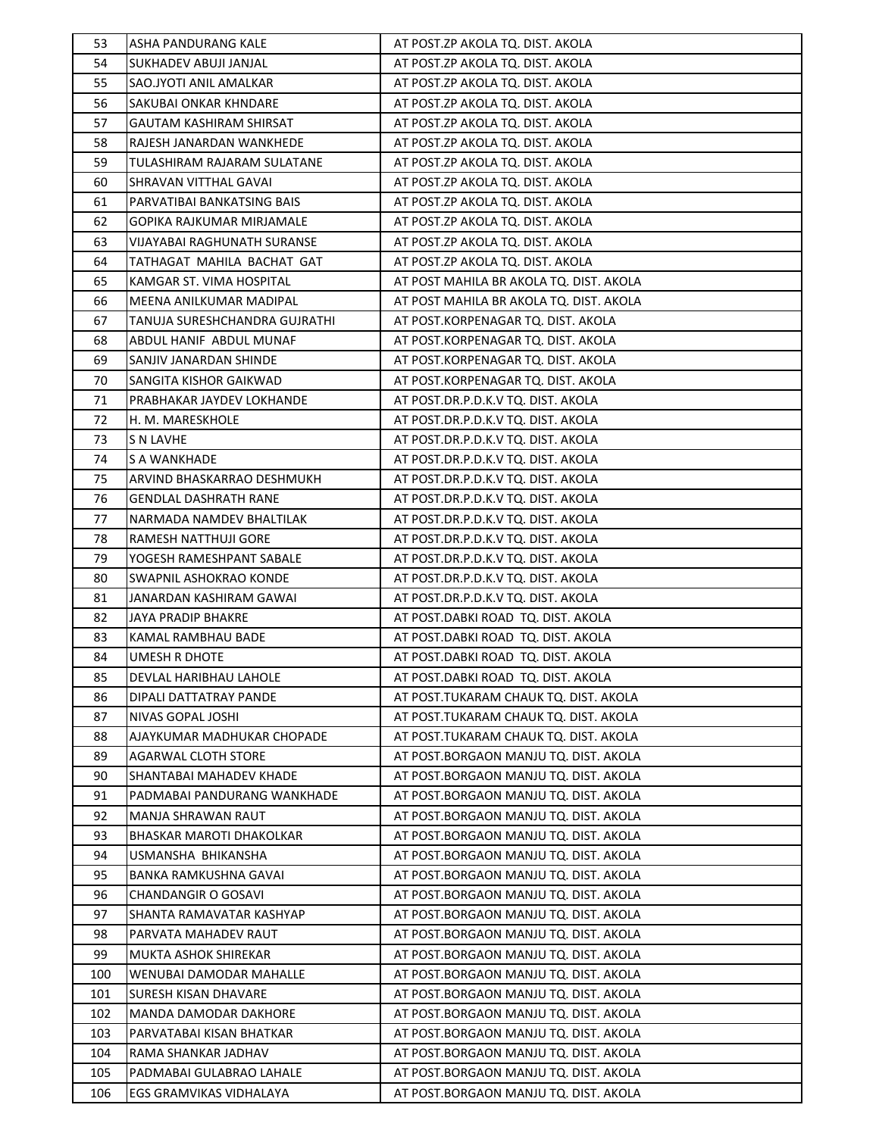| 53  | ASHA PANDURANG KALE            | AT POST.ZP AKOLA TQ. DIST. AKOLA        |
|-----|--------------------------------|-----------------------------------------|
| 54  | SUKHADEV ABUJI JANJAL          | AT POST.ZP AKOLA TQ. DIST. AKOLA        |
| 55  | SAO.JYOTI ANIL AMALKAR         | AT POST.ZP AKOLA TQ. DIST. AKOLA        |
| 56  | SAKUBAI ONKAR KHNDARE          | AT POST.ZP AKOLA TQ. DIST. AKOLA        |
| 57  | <b>GAUTAM KASHIRAM SHIRSAT</b> | AT POST.ZP AKOLA TQ. DIST. AKOLA        |
| 58  | RAJESH JANARDAN WANKHEDE       | AT POST.ZP AKOLA TQ. DIST. AKOLA        |
| 59  | TULASHIRAM RAJARAM SULATANE    | AT POST.ZP AKOLA TQ. DIST. AKOLA        |
| 60  | SHRAVAN VITTHAL GAVAI          | AT POST.ZP AKOLA TQ. DIST. AKOLA        |
| 61  | PARVATIBAI BANKATSING BAIS     | AT POST.ZP AKOLA TQ. DIST. AKOLA        |
| 62  | GOPIKA RAJKUMAR MIRJAMALE      | AT POST.ZP AKOLA TQ. DIST. AKOLA        |
| 63  | VIJAYABAI RAGHUNATH SURANSE    | AT POST.ZP AKOLA TQ. DIST. AKOLA        |
| 64  | TATHAGAT MAHILA BACHAT GAT     | AT POST.ZP AKOLA TQ. DIST. AKOLA        |
| 65  | KAMGAR ST. VIMA HOSPITAL       | AT POST MAHILA BR AKOLA TQ. DIST. AKOLA |
| 66  | MEENA ANILKUMAR MADIPAL        | AT POST MAHILA BR AKOLA TQ. DIST. AKOLA |
| 67  | TANUJA SURESHCHANDRA GUJRATHI  | AT POST.KORPENAGAR TQ. DIST. AKOLA      |
| 68  | ABDUL HANIF ABDUL MUNAF        | AT POST.KORPENAGAR TQ. DIST. AKOLA      |
| 69  | SANJIV JANARDAN SHINDE         | AT POST.KORPENAGAR TQ. DIST. AKOLA      |
| 70  | SANGITA KISHOR GAIKWAD         | AT POST.KORPENAGAR TQ. DIST. AKOLA      |
| 71  | PRABHAKAR JAYDEV LOKHANDE      | AT POST.DR.P.D.K.V TQ. DIST. AKOLA      |
| 72  | H. M. MARESKHOLE               | AT POST.DR.P.D.K.V TQ. DIST. AKOLA      |
| 73  | <b>S N LAVHE</b>               | AT POST.DR.P.D.K.V TQ. DIST. AKOLA      |
| 74  | S A WANKHADE                   | AT POST.DR.P.D.K.V TQ. DIST. AKOLA      |
| 75  | ARVIND BHASKARRAO DESHMUKH     | AT POST.DR.P.D.K.V TQ. DIST. AKOLA      |
| 76  | <b>GENDLAL DASHRATH RANE</b>   | AT POST.DR.P.D.K.V TQ. DIST. AKOLA      |
| 77  | NARMADA NAMDEV BHALTILAK       | AT POST.DR.P.D.K.V TQ. DIST. AKOLA      |
| 78  | RAMESH NATTHUJI GORE           | AT POST.DR.P.D.K.V TQ. DIST. AKOLA      |
| 79  | YOGESH RAMESHPANT SABALE       | AT POST.DR.P.D.K.V TQ. DIST. AKOLA      |
| 80  | SWAPNIL ASHOKRAO KONDE         | AT POST.DR.P.D.K.V TQ. DIST. AKOLA      |
| 81  | JANARDAN KASHIRAM GAWAI        | AT POST.DR.P.D.K.V TQ. DIST. AKOLA      |
| 82  | JAYA PRADIP BHAKRE             | AT POST.DABKI ROAD TQ. DIST. AKOLA      |
| 83  | KAMAL RAMBHAU BADE             | AT POST.DABKI ROAD TQ. DIST. AKOLA      |
| 84  | UMESH R DHOTE                  | AT POST.DABKI ROAD TQ. DIST. AKOLA      |
| 85  | DEVLAL HARIBHAU LAHOLE         | AT POST.DABKI ROAD TQ. DIST. AKOLA      |
| 86  | DIPALI DATTATRAY PANDE         | AT POST.TUKARAM CHAUK TQ. DIST. AKOLA   |
| 87  | NIVAS GOPAL JOSHI              | AT POST.TUKARAM CHAUK TQ. DIST. AKOLA   |
| 88  | AJAYKUMAR MADHUKAR CHOPADE     | AT POST.TUKARAM CHAUK TO. DIST. AKOLA   |
| 89  | AGARWAL CLOTH STORE            | AT POST.BORGAON MANJU TQ. DIST. AKOLA   |
| 90  | SHANTABAI MAHADEV KHADE        | AT POST.BORGAON MANJU TQ. DIST. AKOLA   |
| 91  | PADMABAI PANDURANG WANKHADE    | AT POST.BORGAON MANJU TQ. DIST. AKOLA   |
| 92  | <b>MANJA SHRAWAN RAUT</b>      | AT POST.BORGAON MANJU TQ. DIST. AKOLA   |
| 93  | BHASKAR MAROTI DHAKOLKAR       | AT POST.BORGAON MANJU TQ. DIST. AKOLA   |
| 94  | USMANSHA BHIKANSHA             | AT POST.BORGAON MANJU TQ. DIST. AKOLA   |
| 95  | BANKA RAMKUSHNA GAVAI          | AT POST.BORGAON MANJU TQ. DIST. AKOLA   |
| 96  | <b>CHANDANGIR O GOSAVI</b>     | AT POST.BORGAON MANJU TQ. DIST. AKOLA   |
| 97  | SHANTA RAMAVATAR KASHYAP       | AT POST.BORGAON MANJU TQ. DIST. AKOLA   |
| 98  | PARVATA MAHADEV RAUT           | AT POST.BORGAON MANJU TQ. DIST. AKOLA   |
| 99  | MUKTA ASHOK SHIREKAR           | AT POST.BORGAON MANJU TQ. DIST. AKOLA   |
| 100 | WENUBAI DAMODAR MAHALLE        | AT POST.BORGAON MANJU TQ. DIST. AKOLA   |
| 101 | SURESH KISAN DHAVARE           | AT POST.BORGAON MANJU TQ. DIST. AKOLA   |
| 102 | MANDA DAMODAR DAKHORE          | AT POST.BORGAON MANJU TQ. DIST. AKOLA   |
| 103 | PARVATABAI KISAN BHATKAR       | AT POST.BORGAON MANJU TQ. DIST. AKOLA   |
| 104 | RAMA SHANKAR JADHAV            | AT POST.BORGAON MANJU TQ. DIST. AKOLA   |
| 105 | PADMABAI GULABRAO LAHALE       | AT POST.BORGAON MANJU TQ. DIST. AKOLA   |
| 106 | EGS GRAMVIKAS VIDHALAYA        | AT POST.BORGAON MANJU TQ. DIST. AKOLA   |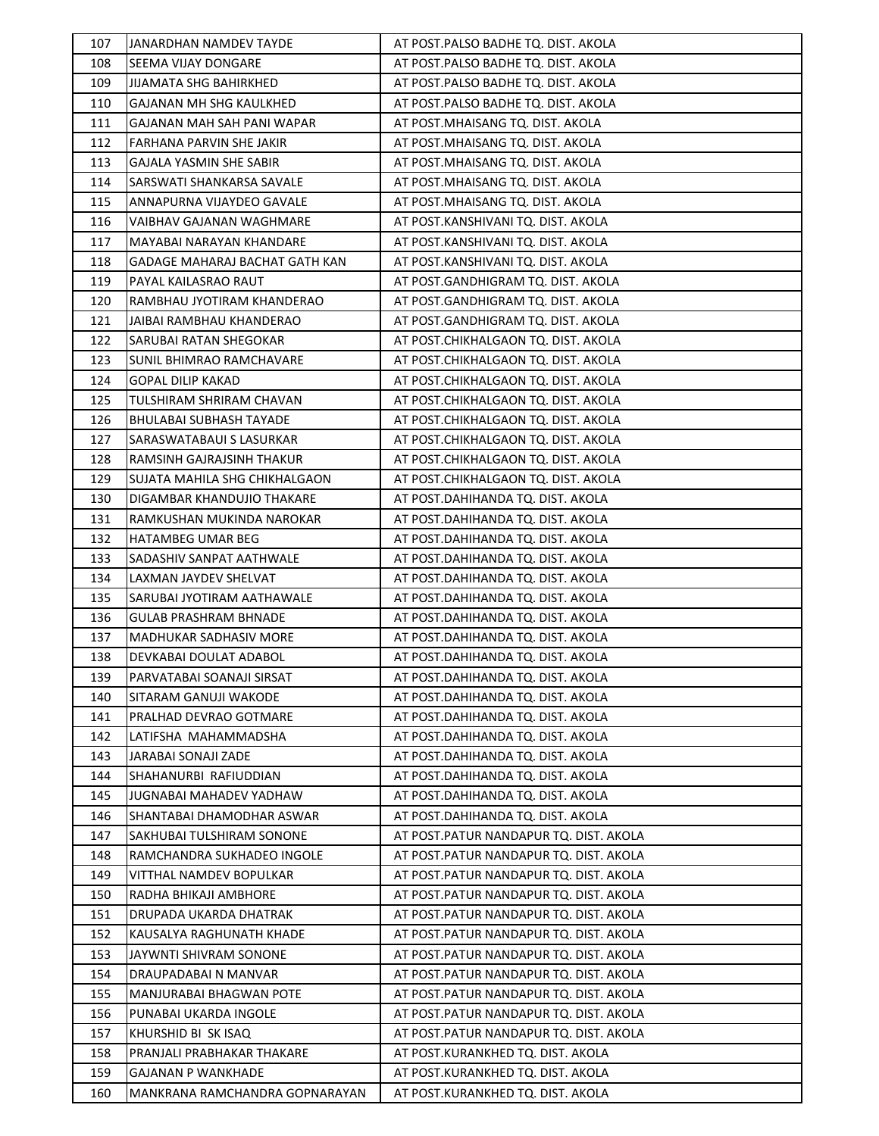| 107 | JANARDHAN NAMDEV TAYDE          | AT POST.PALSO BADHE TQ. DIST. AKOLA     |
|-----|---------------------------------|-----------------------------------------|
| 108 | SEEMA VIJAY DONGARE             | AT POST.PALSO BADHE TQ. DIST. AKOLA     |
| 109 | <b>JIJAMATA SHG BAHIRKHED</b>   | AT POST.PALSO BADHE TQ. DIST. AKOLA     |
| 110 | GAJANAN MH SHG KAULKHED         | AT POST.PALSO BADHE TQ. DIST. AKOLA     |
| 111 | GAJANAN MAH SAH PANI WAPAR      | AT POST.MHAISANG TQ. DIST. AKOLA        |
| 112 | FARHANA PARVIN SHE JAKIR        | AT POST.MHAISANG TQ. DIST. AKOLA        |
| 113 | <b>GAJALA YASMIN SHE SABIR</b>  | AT POST.MHAISANG TQ. DIST. AKOLA        |
| 114 | SARSWATI SHANKARSA SAVALE       | AT POST.MHAISANG TQ. DIST. AKOLA        |
| 115 | ANNAPURNA VIJAYDEO GAVALE       | AT POST.MHAISANG TQ. DIST. AKOLA        |
| 116 | VAIBHAV GAJANAN WAGHMARE        | AT POST.KANSHIVANI TQ. DIST. AKOLA      |
| 117 | MAYABAI NARAYAN KHANDARE        | AT POST.KANSHIVANI TQ. DIST. AKOLA      |
| 118 | GADAGE MAHARAJ BACHAT GATH KAN  | AT POST.KANSHIVANI TQ. DIST. AKOLA      |
| 119 | PAYAL KAILASRAO RAUT            | AT POST.GANDHIGRAM TQ. DIST. AKOLA      |
| 120 | RAMBHAU JYOTIRAM KHANDERAO      | AT POST.GANDHIGRAM TQ. DIST. AKOLA      |
| 121 | JAIBAI RAMBHAU KHANDERAO        | AT POST.GANDHIGRAM TQ. DIST. AKOLA      |
| 122 | SARUBAI RATAN SHEGOKAR          | AT POST.CHIKHALGAON TQ. DIST. AKOLA     |
| 123 | <b>SUNIL BHIMRAO RAMCHAVARE</b> | AT POST.CHIKHALGAON TQ. DIST. AKOLA     |
| 124 | <b>GOPAL DILIP KAKAD</b>        | AT POST.CHIKHALGAON TQ. DIST. AKOLA     |
| 125 | TULSHIRAM SHRIRAM CHAVAN        | AT POST.CHIKHALGAON TQ. DIST. AKOLA     |
| 126 | <b>BHULABAI SUBHASH TAYADE</b>  | AT POST.CHIKHALGAON TQ. DIST. AKOLA     |
| 127 | SARASWATABAUI S LASURKAR        | AT POST.CHIKHALGAON TQ. DIST. AKOLA     |
| 128 | RAMSINH GAJRAJSINH THAKUR       | AT POST.CHIKHALGAON TQ. DIST. AKOLA     |
| 129 | SUJATA MAHILA SHG CHIKHALGAON   | AT POST.CHIKHALGAON TQ. DIST. AKOLA     |
| 130 | DIGAMBAR KHANDUJIO THAKARE      | AT POST.DAHIHANDA TQ. DIST. AKOLA       |
| 131 | RAMKUSHAN MUKINDA NAROKAR       | AT POST.DAHIHANDA TQ. DIST. AKOLA       |
| 132 | <b>HATAMBEG UMAR BEG</b>        | AT POST.DAHIHANDA TQ. DIST. AKOLA       |
| 133 | SADASHIV SANPAT AATHWALE        | AT POST.DAHIHANDA TQ. DIST. AKOLA       |
| 134 | LAXMAN JAYDEV SHELVAT           | AT POST.DAHIHANDA TQ. DIST. AKOLA       |
| 135 | SARUBAI JYOTIRAM AATHAWALE      | AT POST.DAHIHANDA TQ. DIST. AKOLA       |
| 136 | <b>GULAB PRASHRAM BHNADE</b>    | AT POST.DAHIHANDA TQ. DIST. AKOLA       |
| 137 | <b>MADHUKAR SADHASIV MORE</b>   | AT POST.DAHIHANDA TQ. DIST. AKOLA       |
| 138 | DEVKABAI DOULAT ADABOL          | AT POST.DAHIHANDA TQ. DIST. AKOLA       |
| 139 | PARVATABAI SOANAJI SIRSAT       | AT POST.DAHIHANDA TQ. DIST. AKOLA       |
| 140 | SITARAM GANUJI WAKODE           | AT POST.DAHIHANDA TQ. DIST. AKOLA       |
| 141 | PRALHAD DEVRAO GOTMARE          | AT POST.DAHIHANDA TQ. DIST. AKOLA       |
| 142 | LATIFSHA MAHAMMADSHA            | AT POST.DAHIHANDA TQ. DIST. AKOLA       |
| 143 | JARABAI SONAJI ZADE             | AT POST.DAHIHANDA TQ. DIST. AKOLA       |
| 144 | SHAHANURBI RAFIUDDIAN           | AT POST.DAHIHANDA TQ. DIST. AKOLA       |
| 145 | <b>JUGNABAI MAHADEV YADHAW</b>  | AT POST.DAHIHANDA TQ. DIST. AKOLA       |
| 146 | SHANTABAI DHAMODHAR ASWAR       | AT POST.DAHIHANDA TQ. DIST. AKOLA       |
| 147 | SAKHUBAI TULSHIRAM SONONE       | AT POST.PATUR NANDAPUR TQ. DIST. AKOLA  |
| 148 | RAMCHANDRA SUKHADEO INGOLE      | AT POST. PATUR NANDAPUR TO. DIST. AKOLA |
| 149 | VITTHAL NAMDEV BOPULKAR         | AT POST.PATUR NANDAPUR TQ. DIST. AKOLA  |
| 150 | RADHA BHIKAJI AMBHORE           | AT POST. PATUR NANDAPUR TQ. DIST. AKOLA |
| 151 | DRUPADA UKARDA DHATRAK          | AT POST.PATUR NANDAPUR TQ. DIST. AKOLA  |
| 152 | KAUSALYA RAGHUNATH KHADE        | AT POST.PATUR NANDAPUR TQ. DIST. AKOLA  |
| 153 | JAYWNTI SHIVRAM SONONE          | AT POST. PATUR NANDAPUR TQ. DIST. AKOLA |
| 154 | DRAUPADABAI N MANVAR            | AT POST. PATUR NANDAPUR TQ. DIST. AKOLA |
| 155 | MANJURABAI BHAGWAN POTE         | AT POST. PATUR NANDAPUR TQ. DIST. AKOLA |
| 156 | PUNABAI UKARDA INGOLE           | AT POST. PATUR NANDAPUR TQ. DIST. AKOLA |
| 157 | KHURSHID BI SK ISAQ             | AT POST. PATUR NANDAPUR TQ. DIST. AKOLA |
| 158 | PRANJALI PRABHAKAR THAKARE      | AT POST.KURANKHED TQ. DIST. AKOLA       |
| 159 | GAJANAN P WANKHADE              | AT POST.KURANKHED TQ. DIST. AKOLA       |
| 160 | MANKRANA RAMCHANDRA GOPNARAYAN  | AT POST.KURANKHED TQ. DIST. AKOLA       |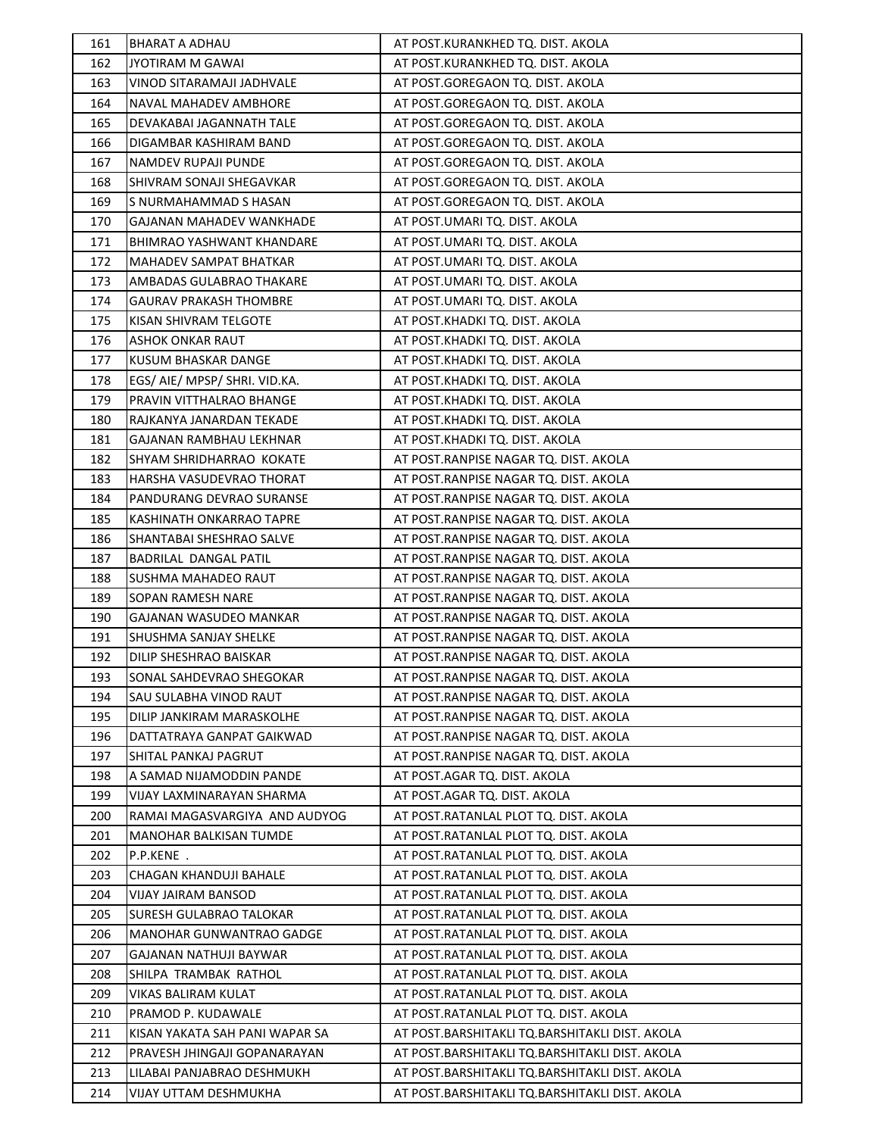| 161 | BHARAT A ADHAU                 | AT POST.KURANKHED TQ. DIST. AKOLA              |
|-----|--------------------------------|------------------------------------------------|
| 162 | <b>JYOTIRAM M GAWAI</b>        | AT POST.KURANKHED TQ. DIST. AKOLA              |
| 163 | VINOD SITARAMAJI JADHVALE      | AT POST.GOREGAON TQ. DIST. AKOLA               |
| 164 | NAVAL MAHADEV AMBHORE          | AT POST.GOREGAON TQ. DIST. AKOLA               |
| 165 | DEVAKABAI JAGANNATH TALE       | AT POST.GOREGAON TQ. DIST. AKOLA               |
| 166 | DIGAMBAR KASHIRAM BAND         | AT POST.GOREGAON TQ. DIST. AKOLA               |
| 167 | NAMDEV RUPAJI PUNDE            | AT POST.GOREGAON TQ. DIST. AKOLA               |
| 168 | SHIVRAM SONAJI SHEGAVKAR       | AT POST.GOREGAON TQ. DIST. AKOLA               |
| 169 | S NURMAHAMMAD S HASAN          | AT POST.GOREGAON TQ. DIST. AKOLA               |
| 170 | GAJANAN MAHADEV WANKHADE       | AT POST.UMARI TQ. DIST. AKOLA                  |
| 171 | BHIMRAO YASHWANT KHANDARE      | AT POST.UMARI TQ. DIST. AKOLA                  |
| 172 | MAHADEV SAMPAT BHATKAR         | AT POST.UMARI TQ. DIST. AKOLA                  |
| 173 | AMBADAS GULABRAO THAKARE       | AT POST.UMARI TQ. DIST. AKOLA                  |
| 174 | <b>GAURAV PRAKASH THOMBRE</b>  | AT POST.UMARI TQ. DIST. AKOLA                  |
| 175 | KISAN SHIVRAM TELGOTE          | AT POST.KHADKI TQ. DIST. AKOLA                 |
| 176 | <b>ASHOK ONKAR RAUT</b>        | AT POST.KHADKI TQ. DIST. AKOLA                 |
| 177 | KUSUM BHASKAR DANGE            | AT POST.KHADKI TQ. DIST. AKOLA                 |
| 178 | EGS/ AIE/ MPSP/ SHRI. VID.KA.  | AT POST.KHADKI TQ. DIST. AKOLA                 |
| 179 | PRAVIN VITTHALRAO BHANGE       | AT POST.KHADKI TQ. DIST. AKOLA                 |
| 180 | RAJKANYA JANARDAN TEKADE       | AT POST.KHADKI TQ. DIST. AKOLA                 |
| 181 | GAJANAN RAMBHAU LEKHNAR        | AT POST.KHADKI TQ. DIST. AKOLA                 |
| 182 | SHYAM SHRIDHARRAO KOKATE       | AT POST.RANPISE NAGAR TQ. DIST. AKOLA          |
| 183 | HARSHA VASUDEVRAO THORAT       | AT POST.RANPISE NAGAR TQ. DIST. AKOLA          |
| 184 | PANDURANG DEVRAO SURANSE       | AT POST.RANPISE NAGAR TQ. DIST. AKOLA          |
| 185 | KASHINATH ONKARRAO TAPRE       | AT POST.RANPISE NAGAR TQ. DIST. AKOLA          |
| 186 | SHANTABAI SHESHRAO SALVE       | AT POST.RANPISE NAGAR TQ. DIST. AKOLA          |
| 187 | BADRILAL DANGAL PATIL          | AT POST.RANPISE NAGAR TQ. DIST. AKOLA          |
| 188 | <b>SUSHMA MAHADEO RAUT</b>     | AT POST.RANPISE NAGAR TQ. DIST. AKOLA          |
| 189 | SOPAN RAMESH NARE              | AT POST.RANPISE NAGAR TQ. DIST. AKOLA          |
| 190 | GAJANAN WASUDEO MANKAR         | AT POST.RANPISE NAGAR TQ. DIST. AKOLA          |
| 191 | SHUSHMA SANJAY SHELKE          | AT POST.RANPISE NAGAR TQ. DIST. AKOLA          |
| 192 | DILIP SHESHRAO BAISKAR         | AT POST.RANPISE NAGAR TQ. DIST. AKOLA          |
| 193 | SONAL SAHDEVRAO SHEGOKAR       | AT POST.RANPISE NAGAR TQ. DIST. AKOLA          |
| 194 | SAU SULABHA VINOD RAUT         | AT POST.RANPISE NAGAR TQ. DIST. AKOLA          |
| 195 | DILIP JANKIRAM MARASKOLHE      | AT POST.RANPISE NAGAR TQ. DIST. AKOLA          |
| 196 | DATTATRAYA GANPAT GAIKWAD      | AT POST.RANPISE NAGAR TQ. DIST. AKOLA          |
| 197 | SHITAL PANKAJ PAGRUT           | AT POST.RANPISE NAGAR TQ. DIST. AKOLA          |
| 198 | A SAMAD NIJAMODDIN PANDE       | AT POST.AGAR TQ. DIST. AKOLA                   |
| 199 | VIJAY LAXMINARAYAN SHARMA      | AT POST.AGAR TQ. DIST. AKOLA                   |
| 200 | RAMAI MAGASVARGIYA AND AUDYOG  | AT POST.RATANLAL PLOT TQ. DIST. AKOLA          |
| 201 | MANOHAR BALKISAN TUMDE         | AT POST.RATANLAL PLOT TQ. DIST. AKOLA          |
| 202 | P.P.KENE .                     | AT POST.RATANLAL PLOT TQ. DIST. AKOLA          |
| 203 | CHAGAN KHANDUJI BAHALE         | AT POST.RATANLAL PLOT TQ. DIST. AKOLA          |
| 204 | VIJAY JAIRAM BANSOD            | AT POST.RATANLAL PLOT TQ. DIST. AKOLA          |
| 205 | SURESH GULABRAO TALOKAR        | AT POST.RATANLAL PLOT TQ. DIST. AKOLA          |
| 206 | MANOHAR GUNWANTRAO GADGE       | AT POST.RATANLAL PLOT TQ. DIST. AKOLA          |
| 207 | GAJANAN NATHUJI BAYWAR         | AT POST.RATANLAL PLOT TQ. DIST. AKOLA          |
| 208 | SHILPA TRAMBAK RATHOL          | AT POST.RATANLAL PLOT TQ. DIST. AKOLA          |
| 209 | VIKAS BALIRAM KULAT            | AT POST.RATANLAL PLOT TQ. DIST. AKOLA          |
| 210 | PRAMOD P. KUDAWALE             | AT POST.RATANLAL PLOT TQ. DIST. AKOLA          |
| 211 | KISAN YAKATA SAH PANI WAPAR SA | AT POST.BARSHITAKLI TQ.BARSHITAKLI DIST. AKOLA |
| 212 | PRAVESH JHINGAJI GOPANARAYAN   | AT POST.BARSHITAKLI TQ.BARSHITAKLI DIST. AKOLA |
| 213 | LILABAI PANJABRAO DESHMUKH     | AT POST.BARSHITAKLI TQ.BARSHITAKLI DIST. AKOLA |
| 214 | VIJAY UTTAM DESHMUKHA          | AT POST.BARSHITAKLI TQ.BARSHITAKLI DIST. AKOLA |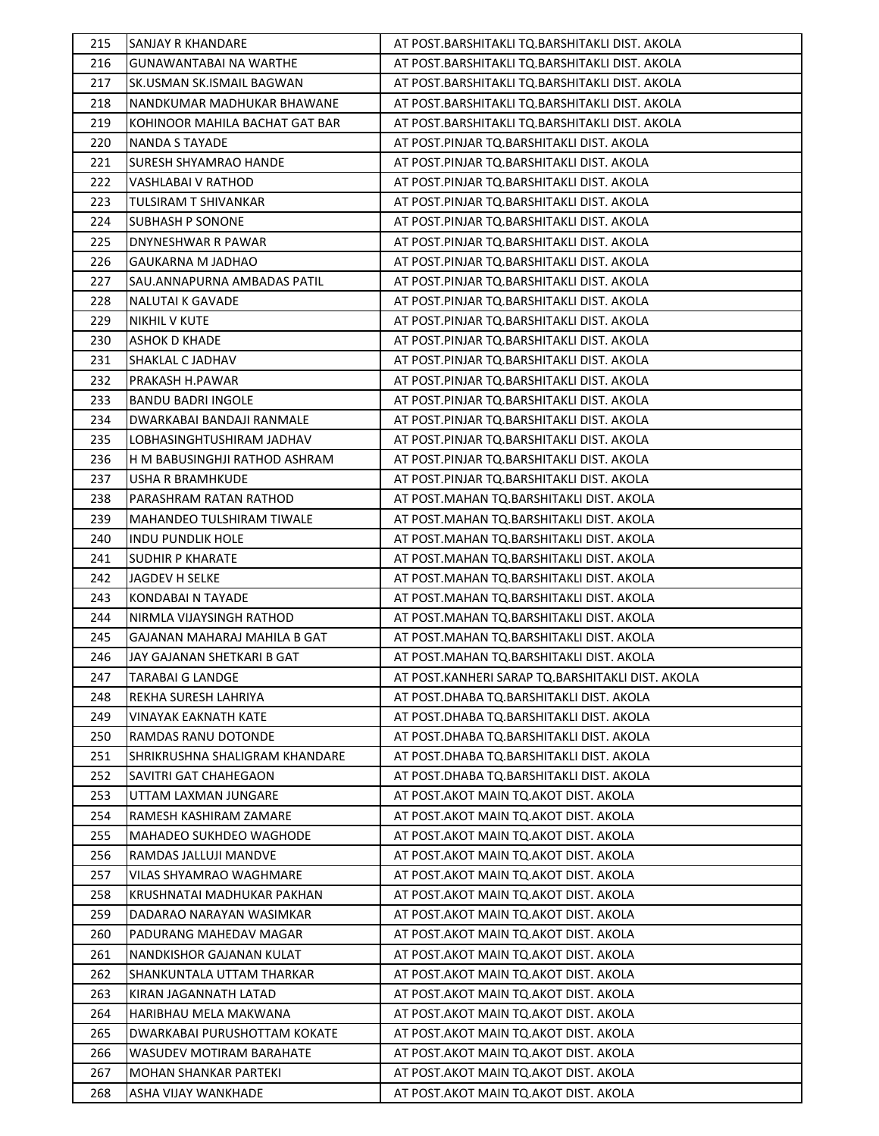| 215        | SANJAY R KHANDARE                            | AT POST.BARSHITAKLI TQ.BARSHITAKLI DIST. AKOLA                                     |
|------------|----------------------------------------------|------------------------------------------------------------------------------------|
| 216        | GUNAWANTABAI NA WARTHE                       | AT POST.BARSHITAKLI TQ.BARSHITAKLI DIST. AKOLA                                     |
| 217        | SK.USMAN SK.ISMAIL BAGWAN                    | AT POST.BARSHITAKLI TQ.BARSHITAKLI DIST. AKOLA                                     |
| 218        | NANDKUMAR MADHUKAR BHAWANE                   | AT POST.BARSHITAKLI TQ.BARSHITAKLI DIST. AKOLA                                     |
| 219        | KOHINOOR MAHILA BACHAT GAT BAR               | AT POST.BARSHITAKLI TQ.BARSHITAKLI DIST. AKOLA                                     |
| 220        | NANDA S TAYADE                               | AT POST.PINJAR TQ.BARSHITAKLI DIST. AKOLA                                          |
| 221        | SURESH SHYAMRAO HANDE                        | AT POST.PINJAR TQ.BARSHITAKLI DIST. AKOLA                                          |
| 222        | VASHLABAI V RATHOD                           | AT POST.PINJAR TQ.BARSHITAKLI DIST. AKOLA                                          |
| 223        | TULSIRAM T SHIVANKAR                         | AT POST.PINJAR TQ.BARSHITAKLI DIST. AKOLA                                          |
| 224        | <b>SUBHASH P SONONE</b>                      | AT POST.PINJAR TQ.BARSHITAKLI DIST. AKOLA                                          |
| 225        | DNYNESHWAR R PAWAR                           | AT POST.PINJAR TQ.BARSHITAKLI DIST. AKOLA                                          |
| 226        | GAUKARNA M JADHAO                            | AT POST.PINJAR TQ.BARSHITAKLI DIST. AKOLA                                          |
| 227        | SAU.ANNAPURNA AMBADAS PATIL                  | AT POST.PINJAR TQ.BARSHITAKLI DIST. AKOLA                                          |
| 228        | NALUTAI K GAVADE                             | AT POST.PINJAR TQ.BARSHITAKLI DIST. AKOLA                                          |
| 229        | <b>NIKHIL V KUTE</b>                         | AT POST.PINJAR TQ.BARSHITAKLI DIST. AKOLA                                          |
| 230        | <b>ASHOK D KHADE</b>                         | AT POST.PINJAR TQ.BARSHITAKLI DIST. AKOLA                                          |
| 231        | SHAKLAL C JADHAV                             | AT POST.PINJAR TQ.BARSHITAKLI DIST. AKOLA                                          |
| 232        | PRAKASH H.PAWAR                              | AT POST.PINJAR TQ.BARSHITAKLI DIST. AKOLA                                          |
| 233        | <b>BANDU BADRI INGOLE</b>                    | AT POST.PINJAR TQ.BARSHITAKLI DIST. AKOLA                                          |
| 234        | DWARKABAI BANDAJI RANMALE                    | AT POST.PINJAR TQ.BARSHITAKLI DIST. AKOLA                                          |
| 235        | LOBHASINGHTUSHIRAM JADHAV                    | AT POST.PINJAR TQ.BARSHITAKLI DIST. AKOLA                                          |
| 236        | H M BABUSINGHJI RATHOD ASHRAM                | AT POST.PINJAR TQ.BARSHITAKLI DIST. AKOLA                                          |
| 237        | USHA R BRAMHKUDE                             | AT POST.PINJAR TQ.BARSHITAKLI DIST. AKOLA                                          |
| 238        | PARASHRAM RATAN RATHOD                       | AT POST.MAHAN TQ.BARSHITAKLI DIST. AKOLA                                           |
| 239        | MAHANDEO TULSHIRAM TIWALE                    | AT POST.MAHAN TQ.BARSHITAKLI DIST. AKOLA                                           |
| 240        | <b>INDU PUNDLIK HOLE</b>                     | AT POST.MAHAN TQ.BARSHITAKLI DIST. AKOLA                                           |
| 241        | SUDHIR P KHARATE                             | AT POST.MAHAN TQ.BARSHITAKLI DIST. AKOLA                                           |
| 242        | JAGDEV H SELKE                               | AT POST.MAHAN TQ.BARSHITAKLI DIST. AKOLA                                           |
|            |                                              |                                                                                    |
| 243        | KONDABAI N TAYADE                            | AT POST.MAHAN TQ.BARSHITAKLI DIST. AKOLA                                           |
| 244        | NIRMLA VIJAYSINGH RATHOD                     | AT POST.MAHAN TQ.BARSHITAKLI DIST. AKOLA                                           |
| 245        | GAJANAN MAHARAJ MAHILA B GAT                 | AT POST.MAHAN TQ.BARSHITAKLI DIST. AKOLA                                           |
| 246        | JAY GAJANAN SHETKARI B GAT                   | AT POST.MAHAN TQ.BARSHITAKLI DIST. AKOLA                                           |
| 247        | TARABAI G LANDGE                             | AT POST.KANHERI SARAP TQ.BARSHITAKLI DIST. AKOLA                                   |
| 248        | REKHA SURESH LAHRIYA                         | AT POST.DHABA TQ.BARSHITAKLI DIST. AKOLA                                           |
| 249        | VINAYAK EAKNATH KATE                         | AT POST.DHABA TQ.BARSHITAKLI DIST. AKOLA                                           |
| 250        | RAMDAS RANU DOTONDE                          | AT POST.DHABA TQ.BARSHITAKLI DIST. AKOLA                                           |
| 251        | SHRIKRUSHNA SHALIGRAM KHANDARE               | AT POST.DHABA TQ.BARSHITAKLI DIST. AKOLA                                           |
| 252        | SAVITRI GAT CHAHEGAON                        | AT POST.DHABA TQ.BARSHITAKLI DIST. AKOLA                                           |
| 253        | UTTAM LAXMAN JUNGARE                         | AT POST. AKOT MAIN TO. AKOT DIST. AKOLA                                            |
| 254        | RAMESH KASHIRAM ZAMARE                       | AT POST. AKOT MAIN TO. AKOT DIST. AKOLA                                            |
| 255        | MAHADEO SUKHDEO WAGHODE                      | AT POST. AKOT MAIN TO. AKOT DIST. AKOLA                                            |
| 256        | RAMDAS JALLUJI MANDVE                        | AT POST.AKOT MAIN TQ.AKOT DIST. AKOLA                                              |
| 257        | VILAS SHYAMRAO WAGHMARE                      | AT POST. AKOT MAIN TO. AKOT DIST. AKOLA                                            |
| 258        | KRUSHNATAI MADHUKAR PAKHAN                   | AT POST. AKOT MAIN TO. AKOT DIST. AKOLA                                            |
| 259        | DADARAO NARAYAN WASIMKAR                     | AT POST. AKOT MAIN TO. AKOT DIST. AKOLA                                            |
| 260        | PADURANG MAHEDAV MAGAR                       | AT POST. AKOT MAIN TO. AKOT DIST. AKOLA                                            |
| 261        | NANDKISHOR GAJANAN KULAT                     | AT POST.AKOT MAIN TQ.AKOT DIST. AKOLA                                              |
| 262        | SHANKUNTALA UTTAM THARKAR                    | AT POST. AKOT MAIN TO. AKOT DIST. AKOLA                                            |
| 263        | KIRAN JAGANNATH LATAD                        | AT POST. AKOT MAIN TO. AKOT DIST. AKOLA                                            |
| 264        | HARIBHAU MELA MAKWANA                        | AT POST.AKOT MAIN TQ.AKOT DIST. AKOLA                                              |
| 265        | DWARKABAI PURUSHOTTAM KOKATE                 | AT POST. AKOT MAIN TO. AKOT DIST. AKOLA                                            |
| 266        | WASUDEV MOTIRAM BARAHATE                     | AT POST.AKOT MAIN TQ.AKOT DIST. AKOLA                                              |
| 267<br>268 | MOHAN SHANKAR PARTEKI<br>ASHA VIJAY WANKHADE | AT POST. AKOT MAIN TO. AKOT DIST. AKOLA<br>AT POST. AKOT MAIN TO. AKOT DIST. AKOLA |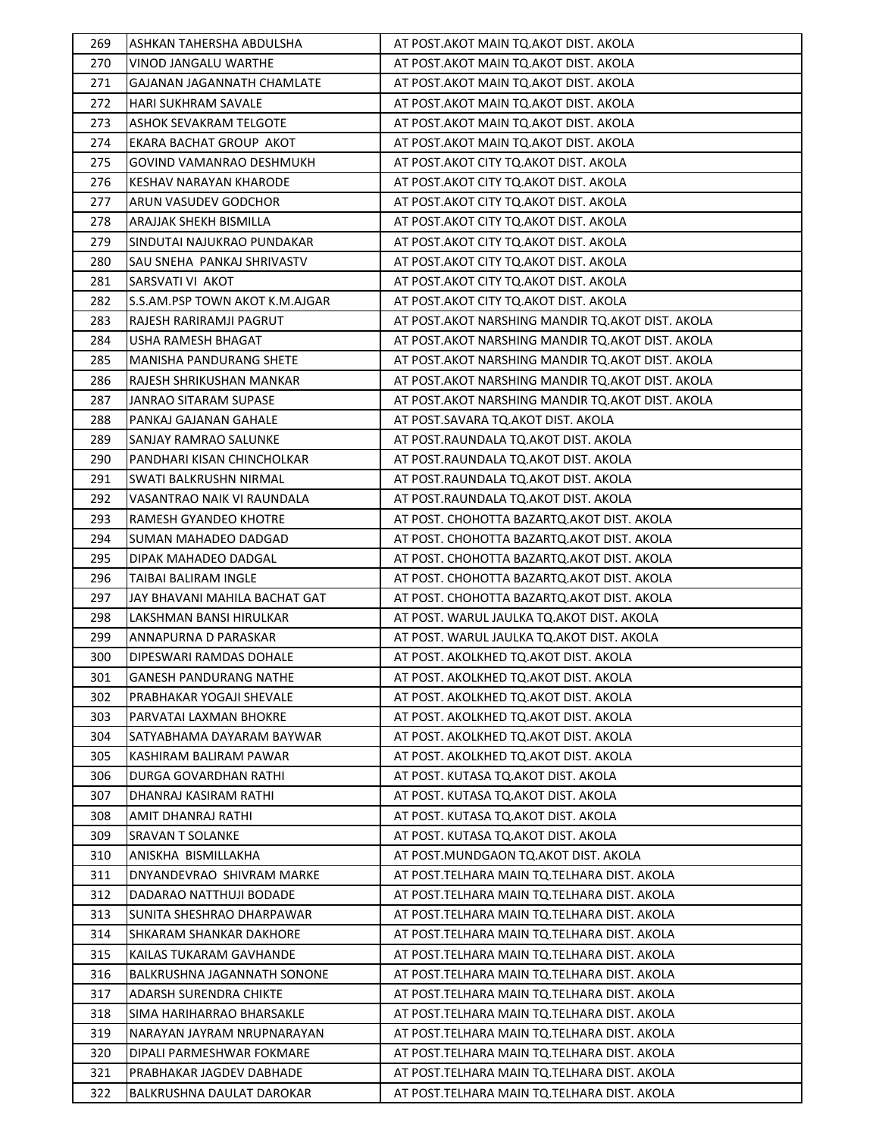| 269 | ASHKAN TAHERSHA ABDULSHA          | AT POST.AKOT MAIN TQ.AKOT DIST. AKOLA              |
|-----|-----------------------------------|----------------------------------------------------|
| 270 | VINOD JANGALU WARTHE              | AT POST. AKOT MAIN TO. AKOT DIST. AKOLA            |
| 271 | <b>GAJANAN JAGANNATH CHAMLATE</b> | AT POST. AKOT MAIN TO. AKOT DIST. AKOLA            |
| 272 | <b>HARI SUKHRAM SAVALE</b>        | AT POST. AKOT MAIN TO. AKOT DIST. AKOLA            |
| 273 | <b>ASHOK SEVAKRAM TELGOTE</b>     | AT POST. AKOT MAIN TO. AKOT DIST. AKOLA            |
| 274 | EKARA BACHAT GROUP AKOT           | AT POST.AKOT MAIN TQ.AKOT DIST. AKOLA              |
| 275 | GOVIND VAMANRAO DESHMUKH          | AT POST.AKOT CITY TQ.AKOT DIST. AKOLA              |
| 276 | KESHAV NARAYAN KHARODE            | AT POST.AKOT CITY TQ.AKOT DIST. AKOLA              |
| 277 | ARUN VASUDEV GODCHOR              | AT POST.AKOT CITY TQ.AKOT DIST. AKOLA              |
| 278 | <b>ARAJJAK SHEKH BISMILLA</b>     | AT POST.AKOT CITY TQ.AKOT DIST. AKOLA              |
| 279 | SINDUTAI NAJUKRAO PUNDAKAR        | AT POST.AKOT CITY TQ.AKOT DIST. AKOLA              |
| 280 | SAU SNEHA PANKAJ SHRIVASTV        | AT POST.AKOT CITY TQ.AKOT DIST. AKOLA              |
| 281 | SARSVATI VI AKOT                  | AT POST.AKOT CITY TQ.AKOT DIST. AKOLA              |
| 282 | S.S.AM.PSP TOWN AKOT K.M.AJGAR    | AT POST.AKOT CITY TQ.AKOT DIST. AKOLA              |
|     |                                   |                                                    |
| 283 | RAJESH RARIRAMJI PAGRUT           | AT POST. AKOT NARSHING MANDIR TO. AKOT DIST. AKOLA |
| 284 | USHA RAMESH BHAGAT                | AT POST. AKOT NARSHING MANDIR TQ. AKOT DIST. AKOLA |
| 285 | <b>MANISHA PANDURANG SHETE</b>    | AT POST.AKOT NARSHING MANDIR TQ.AKOT DIST. AKOLA   |
| 286 | RAJESH SHRIKUSHAN MANKAR          | AT POST. AKOT NARSHING MANDIR TQ. AKOT DIST. AKOLA |
| 287 | JANRAO SITARAM SUPASE             | AT POST. AKOT NARSHING MANDIR TQ. AKOT DIST. AKOLA |
| 288 | PANKAJ GAJANAN GAHALE             | AT POST.SAVARA TQ.AKOT DIST. AKOLA                 |
| 289 | SANJAY RAMRAO SALUNKE             | AT POST.RAUNDALA TQ.AKOT DIST. AKOLA               |
| 290 | PANDHARI KISAN CHINCHOLKAR        | AT POST.RAUNDALA TQ.AKOT DIST. AKOLA               |
| 291 | SWATI BALKRUSHN NIRMAL            | AT POST.RAUNDALA TQ.AKOT DIST. AKOLA               |
| 292 | VASANTRAO NAIK VI RAUNDALA        | AT POST.RAUNDALA TQ.AKOT DIST. AKOLA               |
| 293 | RAMESH GYANDEO KHOTRE             | AT POST. CHOHOTTA BAZARTQ.AKOT DIST. AKOLA         |
| 294 | SUMAN MAHADEO DADGAD              | AT POST. CHOHOTTA BAZARTQ. AKOT DIST. AKOLA        |
| 295 | DIPAK MAHADEO DADGAL              | AT POST. CHOHOTTA BAZARTQ.AKOT DIST. AKOLA         |
| 296 | TAIBAI BALIRAM INGLE              | AT POST. CHOHOTTA BAZARTQ.AKOT DIST. AKOLA         |
| 297 | JAY BHAVANI MAHILA BACHAT GAT     | AT POST. CHOHOTTA BAZARTQ. AKOT DIST. AKOLA        |
| 298 | LAKSHMAN BANSI HIRULKAR           | AT POST. WARUL JAULKA TQ.AKOT DIST. AKOLA          |
| 299 | ANNAPURNA D PARASKAR              | AT POST. WARUL JAULKA TO.AKOT DIST. AKOLA          |
| 300 | DIPESWARI RAMDAS DOHALE           | AT POST. AKOLKHED TQ.AKOT DIST. AKOLA              |
| 301 | <b>GANESH PANDURANG NATHE</b>     | AT POST. AKOLKHED TQ.AKOT DIST. AKOLA              |
| 302 | PRABHAKAR YOGAJI SHEVALE          | AT POST. AKOLKHED TQ.AKOT DIST. AKOLA              |
| 303 | PARVATAI LAXMAN BHOKRE            | AT POST. AKOLKHED TQ.AKOT DIST. AKOLA              |
| 304 | SATYABHAMA DAYARAM BAYWAR         | AT POST. AKOLKHED TO.AKOT DIST. AKOLA              |
| 305 | KASHIRAM BALIRAM PAWAR            | AT POST. AKOLKHED TQ.AKOT DIST. AKOLA              |
| 306 | DURGA GOVARDHAN RATHI             | AT POST. KUTASA TQ.AKOT DIST. AKOLA                |
| 307 | DHANRAJ KASIRAM RATHI             | AT POST. KUTASA TQ.AKOT DIST. AKOLA                |
| 308 | AMIT DHANRAJ RATHI                | AT POST. KUTASA TQ.AKOT DIST. AKOLA                |
| 309 | <b>SRAVAN T SOLANKE</b>           | AT POST. KUTASA TO.AKOT DIST. AKOLA                |
| 310 | ANISKHA BISMILLAKHA               | AT POST.MUNDGAON TQ.AKOT DIST. AKOLA               |
| 311 | DNYANDEVRAO SHIVRAM MARKE         | AT POST.TELHARA MAIN TQ.TELHARA DIST. AKOLA        |
| 312 | DADARAO NATTHUJI BODADE           | AT POST.TELHARA MAIN TQ.TELHARA DIST. AKOLA        |
| 313 | SUNITA SHESHRAO DHARPAWAR         | AT POST. TELHARA MAIN TQ. TELHARA DIST. AKOLA      |
| 314 | SHKARAM SHANKAR DAKHORE           | AT POST.TELHARA MAIN TQ.TELHARA DIST. AKOLA        |
| 315 | KAILAS TUKARAM GAVHANDE           | AT POST.TELHARA MAIN TQ.TELHARA DIST. AKOLA        |
| 316 | BALKRUSHNA JAGANNATH SONONE       | AT POST.TELHARA MAIN TQ.TELHARA DIST. AKOLA        |
| 317 | ADARSH SURENDRA CHIKTE            | AT POST.TELHARA MAIN TQ.TELHARA DIST. AKOLA        |
| 318 | SIMA HARIHARRAO BHARSAKLE         | AT POST. TELHARA MAIN TO. TELHARA DIST. AKOLA      |
| 319 | NARAYAN JAYRAM NRUPNARAYAN        | AT POST.TELHARA MAIN TQ.TELHARA DIST. AKOLA        |
| 320 | DIPALI PARMESHWAR FOKMARE         | AT POST.TELHARA MAIN TQ.TELHARA DIST. AKOLA        |
| 321 | PRABHAKAR JAGDEV DABHADE          | AT POST. TELHARA MAIN TQ. TELHARA DIST. AKOLA      |
| 322 | BALKRUSHNA DAULAT DAROKAR         | AT POST. TELHARA MAIN TQ. TELHARA DIST. AKOLA      |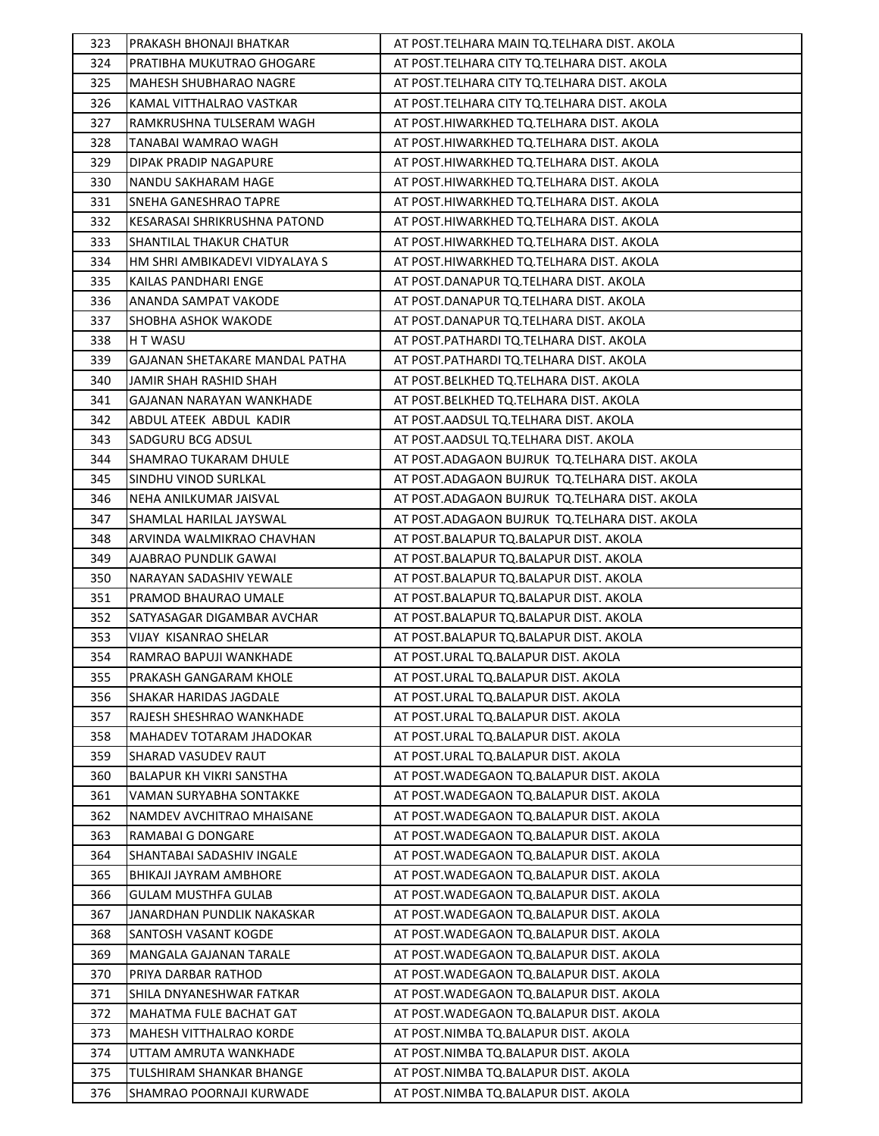| 323        | PRAKASH BHONAJI BHATKAR                             | AT POST.TELHARA MAIN TQ.TELHARA DIST. AKOLA                                          |
|------------|-----------------------------------------------------|--------------------------------------------------------------------------------------|
| 324        | PRATIBHA MUKUTRAO GHOGARE                           | AT POST.TELHARA CITY TO.TELHARA DIST. AKOLA                                          |
| 325        | MAHESH SHUBHARAO NAGRE                              | AT POST.TELHARA CITY TO.TELHARA DIST. AKOLA                                          |
| 326        | KAMAL VITTHALRAO VASTKAR                            | AT POST.TELHARA CITY TQ.TELHARA DIST. AKOLA                                          |
| 327        | RAMKRUSHNA TULSERAM WAGH                            | AT POST.HIWARKHED TQ.TELHARA DIST. AKOLA                                             |
| 328        | TANABAI WAMRAO WAGH                                 | AT POST.HIWARKHED TQ.TELHARA DIST. AKOLA                                             |
| 329        | DIPAK PRADIP NAGAPURE                               | AT POST.HIWARKHED TQ.TELHARA DIST. AKOLA                                             |
| 330        | NANDU SAKHARAM HAGE                                 | AT POST.HIWARKHED TQ.TELHARA DIST. AKOLA                                             |
| 331        | SNEHA GANESHRAO TAPRE                               | AT POST.HIWARKHED TQ.TELHARA DIST. AKOLA                                             |
| 332        | KESARASAI SHRIKRUSHNA PATOND                        | AT POST.HIWARKHED TQ.TELHARA DIST. AKOLA                                             |
| 333        | SHANTILAL THAKUR CHATUR                             | AT POST.HIWARKHED TQ.TELHARA DIST. AKOLA                                             |
| 334        | HM SHRI AMBIKADEVI VIDYALAYA S                      | AT POST.HIWARKHED TQ.TELHARA DIST. AKOLA                                             |
| 335        | KAILAS PANDHARI ENGE                                | AT POST.DANAPUR TQ.TELHARA DIST. AKOLA                                               |
| 336        | ANANDA SAMPAT VAKODE                                | AT POST.DANAPUR TQ.TELHARA DIST. AKOLA                                               |
| 337        | SHOBHA ASHOK WAKODE                                 | AT POST.DANAPUR TQ.TELHARA DIST. AKOLA                                               |
| 338        | H T WASU                                            | AT POST.PATHARDI TQ.TELHARA DIST. AKOLA                                              |
| 339        | GAJANAN SHETAKARE MANDAL PATHA                      | AT POST.PATHARDI TQ.TELHARA DIST. AKOLA                                              |
| 340        | JAMIR SHAH RASHID SHAH                              | AT POST.BELKHED TQ.TELHARA DIST. AKOLA                                               |
| 341        | GAJANAN NARAYAN WANKHADE                            | AT POST.BELKHED TQ.TELHARA DIST. AKOLA                                               |
| 342        | ABDUL ATEEK ABDUL KADIR                             | AT POST.AADSUL TQ.TELHARA DIST. AKOLA                                                |
| 343        | SADGURU BCG ADSUL                                   | AT POST.AADSUL TQ.TELHARA DIST. AKOLA                                                |
| 344        | SHAMRAO TUKARAM DHULE                               | AT POST.ADAGAON BUJRUK TQ.TELHARA DIST. AKOLA                                        |
| 345        | SINDHU VINOD SURLKAL                                | AT POST.ADAGAON BUJRUK TQ.TELHARA DIST. AKOLA                                        |
| 346        | NEHA ANILKUMAR JAISVAL                              | AT POST.ADAGAON BUJRUK TQ.TELHARA DIST. AKOLA                                        |
| 347        | SHAMLAL HARILAL JAYSWAL                             | AT POST. ADAGAON BUJRUK TQ. TELHARA DIST. AKOLA                                      |
| 348        | ARVINDA WALMIKRAO CHAVHAN                           | AT POST.BALAPUR TQ.BALAPUR DIST. AKOLA                                               |
| 349        | AJABRAO PUNDLIK GAWAI                               | AT POST.BALAPUR TQ.BALAPUR DIST. AKOLA                                               |
| 350        | NARAYAN SADASHIV YEWALE                             | AT POST.BALAPUR TQ.BALAPUR DIST. AKOLA                                               |
| 351        | PRAMOD BHAURAO UMALE                                | AT POST.BALAPUR TQ.BALAPUR DIST. AKOLA                                               |
| 352        | SATYASAGAR DIGAMBAR AVCHAR                          | AT POST.BALAPUR TQ.BALAPUR DIST. AKOLA                                               |
| 353        | VIJAY KISANRAO SHELAR                               | AT POST.BALAPUR TQ.BALAPUR DIST. AKOLA                                               |
| 354        | RAMRAO BAPUJI WANKHADE                              | AT POST.URAL TQ.BALAPUR DIST. AKOLA                                                  |
| 355        | PRAKASH GANGARAM KHOLE                              | AT POST.URAL TQ.BALAPUR DIST. AKOLA                                                  |
| 356        | SHAKAR HARIDAS JAGDALE                              | AT POST.URAL TQ.BALAPUR DIST. AKOLA                                                  |
| 357        | RAJESH SHESHRAO WANKHADE                            | AT POST.URAL TQ.BALAPUR DIST. AKOLA                                                  |
| 358        | MAHADEV TOTARAM JHADOKAR                            | AT POST.URAL TO.BALAPUR DIST. AKOLA                                                  |
| 359        | SHARAD VASUDEV RAUT                                 | AT POST.URAL TQ.BALAPUR DIST. AKOLA                                                  |
| 360        | <b>BALAPUR KH VIKRI SANSTHA</b>                     | AT POST. WADEGAON TO. BALAPUR DIST. AKOLA                                            |
| 361        | VAMAN SURYABHA SONTAKKE                             | AT POST. WADEGAON TQ. BALAPUR DIST. AKOLA                                            |
| 362        | NAMDEV AVCHITRAO MHAISANE                           | AT POST. WADEGAON TO. BALAPUR DIST. AKOLA                                            |
| 363        | RAMABAI G DONGARE                                   | AT POST. WADEGAON TO. BALAPUR DIST. AKOLA                                            |
| 364<br>365 | SHANTABAI SADASHIV INGALE<br>BHIKAJI JAYRAM AMBHORE | AT POST. WADEGAON TO. BALAPUR DIST. AKOLA<br>AT POST.WADEGAON TQ.BALAPUR DIST. AKOLA |
| 366        | <b>GULAM MUSTHFA GULAB</b>                          | AT POST. WADEGAON TO. BALAPUR DIST. AKOLA                                            |
| 367        | JANARDHAN PUNDLIK NAKASKAR                          | AT POST. WADEGAON TO. BALAPUR DIST. AKOLA                                            |
| 368        | SANTOSH VASANT KOGDE                                | AT POST.WADEGAON TQ.BALAPUR DIST. AKOLA                                              |
| 369        | MANGALA GAJANAN TARALE                              | AT POST.WADEGAON TQ.BALAPUR DIST. AKOLA                                              |
| 370        | PRIYA DARBAR RATHOD                                 | AT POST. WADEGAON TO. BALAPUR DIST. AKOLA                                            |
| 371        | SHILA DNYANESHWAR FATKAR                            | AT POST. WADEGAON TQ. BALAPUR DIST. AKOLA                                            |
| 372        | MAHATMA FULE BACHAT GAT                             | AT POST.WADEGAON TQ.BALAPUR DIST. AKOLA                                              |
| 373        | MAHESH VITTHALRAO KORDE                             | AT POST.NIMBA TQ.BALAPUR DIST. AKOLA                                                 |
| 374        | UTTAM AMRUTA WANKHADE                               | AT POST.NIMBA TQ.BALAPUR DIST. AKOLA                                                 |
| 375        | TULSHIRAM SHANKAR BHANGE                            | AT POST.NIMBA TQ.BALAPUR DIST. AKOLA                                                 |
| 376        | SHAMRAO POORNAJI KURWADE                            | AT POST.NIMBA TQ.BALAPUR DIST. AKOLA                                                 |
|            |                                                     |                                                                                      |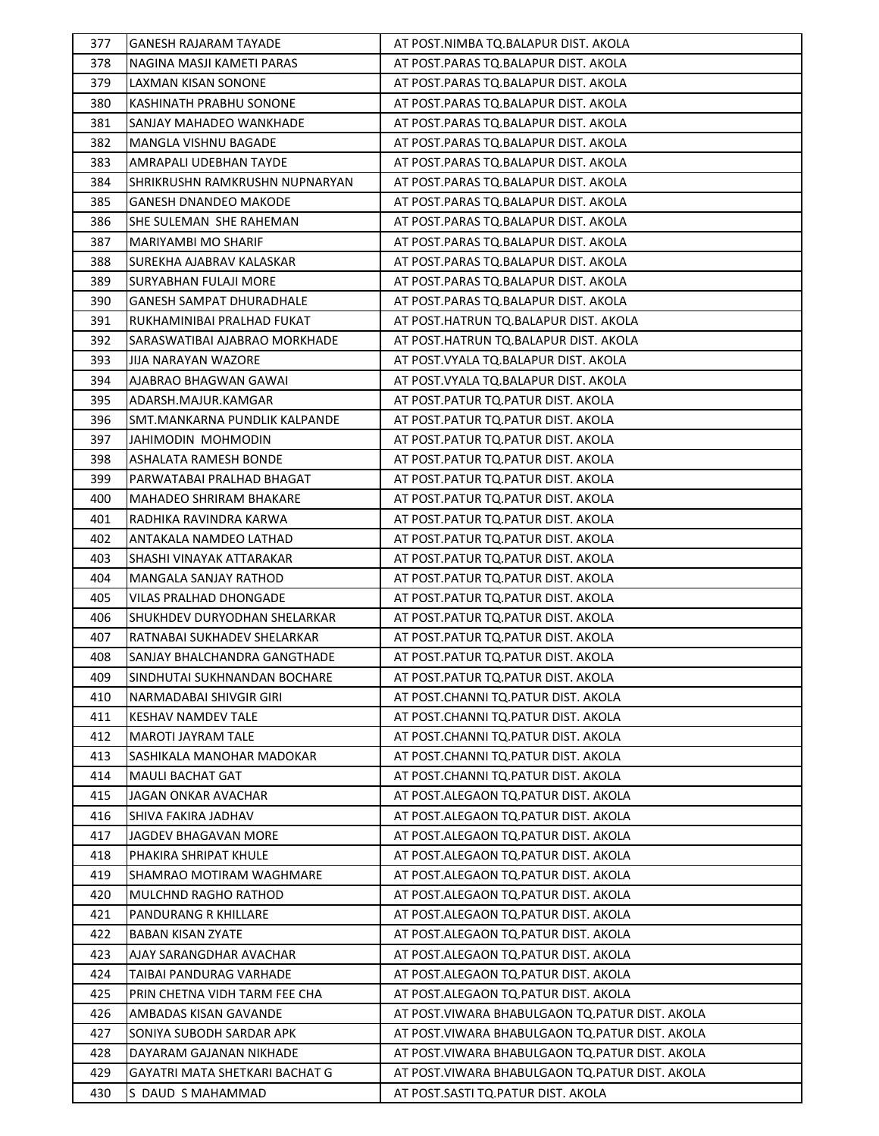| 377 | <b>GANESH RAJARAM TAYADE</b>    | AT POST.NIMBA TQ.BALAPUR DIST. AKOLA             |
|-----|---------------------------------|--------------------------------------------------|
| 378 | NAGINA MASJI KAMETI PARAS       | AT POST.PARAS TQ.BALAPUR DIST. AKOLA             |
| 379 | LAXMAN KISAN SONONE             | AT POST.PARAS TQ.BALAPUR DIST. AKOLA             |
| 380 | KASHINATH PRABHU SONONE         | AT POST.PARAS TQ.BALAPUR DIST. AKOLA             |
| 381 | SANJAY MAHADEO WANKHADE         | AT POST.PARAS TQ.BALAPUR DIST. AKOLA             |
| 382 | MANGLA VISHNU BAGADE            | AT POST.PARAS TQ.BALAPUR DIST. AKOLA             |
| 383 | AMRAPALI UDEBHAN TAYDE          | AT POST.PARAS TQ.BALAPUR DIST. AKOLA             |
| 384 | SHRIKRUSHN RAMKRUSHN NUPNARYAN  | AT POST.PARAS TQ.BALAPUR DIST. AKOLA             |
| 385 | <b>GANESH DNANDEO MAKODE</b>    | AT POST.PARAS TQ.BALAPUR DIST. AKOLA             |
| 386 | SHE SULEMAN SHE RAHEMAN         | AT POST.PARAS TQ.BALAPUR DIST. AKOLA             |
| 387 | MARIYAMBI MO SHARIF             | AT POST.PARAS TQ.BALAPUR DIST. AKOLA             |
| 388 | SUREKHA AJABRAV KALASKAR        | AT POST.PARAS TQ.BALAPUR DIST. AKOLA             |
| 389 | SURYABHAN FULAJI MORE           | AT POST.PARAS TQ.BALAPUR DIST. AKOLA             |
| 390 | <b>GANESH SAMPAT DHURADHALE</b> | AT POST.PARAS TQ.BALAPUR DIST. AKOLA             |
| 391 | RUKHAMINIBAI PRALHAD FUKAT      | AT POST.HATRUN TQ.BALAPUR DIST. AKOLA            |
| 392 | SARASWATIBAI AJABRAO MORKHADE   | AT POST.HATRUN TQ.BALAPUR DIST. AKOLA            |
| 393 | JIJA NARAYAN WAZORE             | AT POST. VYALA TQ. BALAPUR DIST. AKOLA           |
|     |                                 | AT POST. VYALA TQ. BALAPUR DIST. AKOLA           |
| 394 | AJABRAO BHAGWAN GAWAI           |                                                  |
| 395 | ADARSH.MAJUR.KAMGAR             | AT POST. PATUR TQ. PATUR DIST. AKOLA             |
| 396 | SMT.MANKARNA PUNDLIK KALPANDE   | AT POST.PATUR TQ.PATUR DIST. AKOLA               |
| 397 | JAHIMODIN MOHMODIN              | AT POST. PATUR TQ. PATUR DIST. AKOLA             |
| 398 | ASHALATA RAMESH BONDE           | AT POST.PATUR TQ.PATUR DIST. AKOLA               |
| 399 | PARWATABAI PRALHAD BHAGAT       | AT POST. PATUR TQ. PATUR DIST. AKOLA             |
| 400 | MAHADEO SHRIRAM BHAKARE         | AT POST. PATUR TQ. PATUR DIST. AKOLA             |
| 401 | RADHIKA RAVINDRA KARWA          | AT POST.PATUR TQ.PATUR DIST. AKOLA               |
| 402 | ANTAKALA NAMDEO LATHAD          | AT POST. PATUR TQ. PATUR DIST. AKOLA             |
| 403 | SHASHI VINAYAK ATTARAKAR        | AT POST.PATUR TQ.PATUR DIST. AKOLA               |
| 404 | MANGALA SANJAY RATHOD           | AT POST.PATUR TQ.PATUR DIST. AKOLA               |
| 405 | VILAS PRALHAD DHONGADE          | AT POST. PATUR TQ. PATUR DIST. AKOLA             |
| 406 | SHUKHDEV DURYODHAN SHELARKAR    | AT POST.PATUR TQ.PATUR DIST. AKOLA               |
| 407 | RATNABAI SUKHADEV SHELARKAR     | AT POST. PATUR TO. PATUR DIST. AKOLA             |
| 408 | SANJAY BHALCHANDRA GANGTHADE    | AT POST.PATUR TQ.PATUR DIST. AKOLA               |
| 409 | SINDHUTAI SUKHNANDAN BOCHARE    | AT POST.PATUR TQ.PATUR DIST. AKOLA               |
| 410 | NARMADABAI SHIVGIR GIRI         | AT POST.CHANNI TQ.PATUR DIST. AKOLA              |
| 411 | <b>KESHAV NAMDEV TALE</b>       | AT POST.CHANNI TQ.PATUR DIST. AKOLA              |
| 412 | MAROTI JAYRAM TALE              | AT POST.CHANNI TQ.PATUR DIST. AKOLA              |
| 413 | SASHIKALA MANOHAR MADOKAR       | AT POST.CHANNI TQ.PATUR DIST. AKOLA              |
| 414 | <b>MAULI BACHAT GAT</b>         | AT POST.CHANNI TQ.PATUR DIST. AKOLA              |
| 415 | JAGAN ONKAR AVACHAR             | AT POST.ALEGAON TO.PATUR DIST. AKOLA             |
| 416 | SHIVA FAKIRA JADHAV             | AT POST.ALEGAON TO.PATUR DIST. AKOLA             |
| 417 | JAGDEV BHAGAVAN MORE            | AT POST.ALEGAON TO.PATUR DIST. AKOLA             |
| 418 | PHAKIRA SHRIPAT KHULE           | AT POST.ALEGAON TO.PATUR DIST. AKOLA             |
| 419 | SHAMRAO MOTIRAM WAGHMARE        | AT POST.ALEGAON TO.PATUR DIST. AKOLA             |
| 420 | MULCHND RAGHO RATHOD            | AT POST.ALEGAON TO.PATUR DIST. AKOLA             |
| 421 | PANDURANG R KHILLARE            | AT POST.ALEGAON TQ.PATUR DIST. AKOLA             |
| 422 | <b>BABAN KISAN ZYATE</b>        | AT POST.ALEGAON TO.PATUR DIST. AKOLA             |
| 423 | AJAY SARANGDHAR AVACHAR         | AT POST.ALEGAON TQ.PATUR DIST. AKOLA             |
| 424 | TAIBAI PANDURAG VARHADE         | AT POST.ALEGAON TO.PATUR DIST. AKOLA             |
| 425 | PRIN CHETNA VIDH TARM FEE CHA   | AT POST.ALEGAON TQ.PATUR DIST. AKOLA             |
| 426 | AMBADAS KISAN GAVANDE           | AT POST.VIWARA BHABULGAON TQ.PATUR DIST. AKOLA   |
| 427 | SONIYA SUBODH SARDAR APK        | AT POST. VIWARA BHABULGAON TO. PATUR DIST. AKOLA |
| 428 | DAYARAM GAJANAN NIKHADE         | AT POST. VIWARA BHABULGAON TO. PATUR DIST. AKOLA |
| 429 | GAYATRI MATA SHETKARI BACHAT G  | AT POST. VIWARA BHABULGAON TQ. PATUR DIST. AKOLA |
| 430 | S DAUD S MAHAMMAD               | AT POST.SASTI TQ.PATUR DIST. AKOLA               |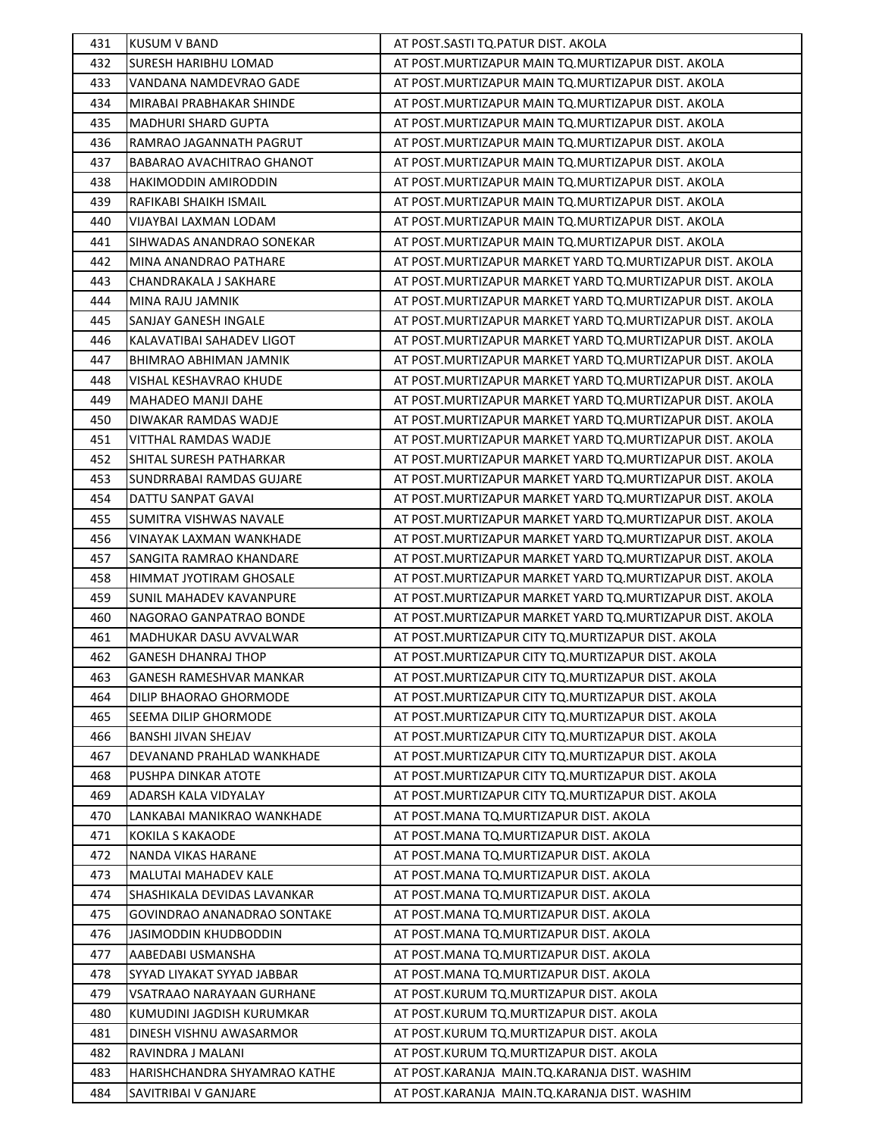| 431 | <b>KUSUM V BAND</b>            | AT POST.SASTI TQ.PATUR DIST. AKOLA                         |
|-----|--------------------------------|------------------------------------------------------------|
| 432 | SURESH HARIBHU LOMAD           | AT POST.MURTIZAPUR MAIN TQ.MURTIZAPUR DIST. AKOLA          |
| 433 | VANDANA NAMDEVRAO GADE         | AT POST.MURTIZAPUR MAIN TQ.MURTIZAPUR DIST. AKOLA          |
| 434 | MIRABAI PRABHAKAR SHINDE       | AT POST. MURTIZAPUR MAIN TQ. MURTIZAPUR DIST. AKOLA        |
| 435 | <b>MADHURI SHARD GUPTA</b>     | AT POST. MURTIZAPUR MAIN TO. MURTIZAPUR DIST. AKOLA        |
| 436 | RAMRAO JAGANNATH PAGRUT        | AT POST.MURTIZAPUR MAIN TQ.MURTIZAPUR DIST. AKOLA          |
| 437 | BABARAO AVACHITRAO GHANOT      | AT POST. MURTIZAPUR MAIN TO. MURTIZAPUR DIST. AKOLA        |
| 438 | HAKIMODDIN AMIRODDIN           | AT POST.MURTIZAPUR MAIN TO.MURTIZAPUR DIST. AKOLA          |
| 439 | RAFIKABI SHAIKH ISMAIL         | AT POST.MURTIZAPUR MAIN TQ.MURTIZAPUR DIST. AKOLA          |
| 440 | VIJAYBAI LAXMAN LODAM          | AT POST. MURTIZAPUR MAIN TO. MURTIZAPUR DIST. AKOLA        |
| 441 | SIHWADAS ANANDRAO SONEKAR      | AT POST.MURTIZAPUR MAIN TQ.MURTIZAPUR DIST. AKOLA          |
| 442 | MINA ANANDRAO PATHARE          | AT POST. MURTIZAPUR MARKET YARD TQ. MURTIZAPUR DIST. AKOLA |
| 443 | CHANDRAKALA J SAKHARE          | AT POST. MURTIZAPUR MARKET YARD TO. MURTIZAPUR DIST. AKOLA |
| 444 | MINA RAJU JAMNIK               | AT POST. MURTIZAPUR MARKET YARD TO. MURTIZAPUR DIST. AKOLA |
| 445 | SANJAY GANESH INGALE           | AT POST. MURTIZAPUR MARKET YARD TO. MURTIZAPUR DIST. AKOLA |
| 446 | KALAVATIBAI SAHADEV LIGOT      | AT POST. MURTIZAPUR MARKET YARD TO. MURTIZAPUR DIST. AKOLA |
| 447 | <b>BHIMRAO ABHIMAN JAMNIK</b>  | AT POST. MURTIZAPUR MARKET YARD TO. MURTIZAPUR DIST. AKOLA |
| 448 | VISHAL KESHAVRAO KHUDE         | AT POST. MURTIZAPUR MARKET YARD TO. MURTIZAPUR DIST. AKOLA |
| 449 | MAHADEO MANJI DAHE             | AT POST. MURTIZAPUR MARKET YARD TQ. MURTIZAPUR DIST. AKOLA |
| 450 | DIWAKAR RAMDAS WADJE           | AT POST. MURTIZAPUR MARKET YARD TO. MURTIZAPUR DIST. AKOLA |
| 451 | VITTHAL RAMDAS WADJE           | AT POST.MURTIZAPUR MARKET YARD TQ.MURTIZAPUR DIST. AKOLA   |
| 452 | SHITAL SURESH PATHARKAR        | AT POST. MURTIZAPUR MARKET YARD TO. MURTIZAPUR DIST. AKOLA |
| 453 | SUNDRRABAI RAMDAS GUJARE       | AT POST. MURTIZAPUR MARKET YARD TO. MURTIZAPUR DIST. AKOLA |
| 454 | DATTU SANPAT GAVAI             | AT POST. MURTIZAPUR MARKET YARD TO. MURTIZAPUR DIST. AKOLA |
| 455 | <b>SUMITRA VISHWAS NAVALE</b>  | AT POST. MURTIZAPUR MARKET YARD TO. MURTIZAPUR DIST. AKOLA |
| 456 | VINAYAK LAXMAN WANKHADE        | AT POST.MURTIZAPUR MARKET YARD TQ.MURTIZAPUR DIST. AKOLA   |
| 457 | SANGITA RAMRAO KHANDARE        | AT POST. MURTIZAPUR MARKET YARD TO. MURTIZAPUR DIST. AKOLA |
| 458 | HIMMAT JYOTIRAM GHOSALE        | AT POST. MURTIZAPUR MARKET YARD TO. MURTIZAPUR DIST. AKOLA |
| 459 | <b>SUNIL MAHADEV KAVANPURE</b> | AT POST. MURTIZAPUR MARKET YARD TO. MURTIZAPUR DIST. AKOLA |
| 460 | NAGORAO GANPATRAO BONDE        | AT POST. MURTIZAPUR MARKET YARD TO. MURTIZAPUR DIST. AKOLA |
| 461 | MADHUKAR DASU AVVALWAR         | AT POST.MURTIZAPUR CITY TQ.MURTIZAPUR DIST. AKOLA          |
| 462 | <b>GANESH DHANRAJ THOP</b>     | AT POST. MURTIZAPUR CITY TQ. MURTIZAPUR DIST. AKOLA        |
| 463 | GANESH RAMESHVAR MANKAR        | AT POST. MURTIZAPUR CITY TO. MURTIZAPUR DIST. AKOLA        |
| 464 | DILIP BHAORAO GHORMODE         | AT POST. MURTIZAPUR CITY TO. MURTIZAPUR DIST. AKOLA        |
| 465 | SEEMA DILIP GHORMODE           | AT POST. MURTIZAPUR CITY TO. MURTIZAPUR DIST. AKOLA        |
| 466 | <b>BANSHI JIVAN SHEJAV</b>     | AT POST.MURTIZAPUR CITY TQ.MURTIZAPUR DIST. AKOLA          |
| 467 | DEVANAND PRAHLAD WANKHADE      | AT POST.MURTIZAPUR CITY TQ.MURTIZAPUR DIST. AKOLA          |
| 468 | PUSHPA DINKAR ATOTE            | AT POST. MURTIZAPUR CITY TQ. MURTIZAPUR DIST. AKOLA        |
| 469 | ADARSH KALA VIDYALAY           | AT POST. MURTIZAPUR CITY TQ. MURTIZAPUR DIST. AKOLA        |
| 470 | LANKABAI MANIKRAO WANKHADE     | AT POST.MANA TQ.MURTIZAPUR DIST. AKOLA                     |
| 471 | KOKILA S KAKAODE               | AT POST.MANA TO.MURTIZAPUR DIST. AKOLA                     |
| 472 | NANDA VIKAS HARANE             | AT POST.MANA TO.MURTIZAPUR DIST. AKOLA                     |
| 473 | MALUTAI MAHADEV KALE           | AT POST.MANA TQ.MURTIZAPUR DIST. AKOLA                     |
| 474 | SHASHIKALA DEVIDAS LAVANKAR    | AT POST.MANA TQ.MURTIZAPUR DIST. AKOLA                     |
| 475 | GOVINDRAO ANANADRAO SONTAKE    | AT POST.MANA TQ.MURTIZAPUR DIST. AKOLA                     |
| 476 | JASIMODDIN KHUDBODDIN          | AT POST.MANA TQ.MURTIZAPUR DIST. AKOLA                     |
| 477 | AABEDABI USMANSHA              | AT POST.MANA TQ.MURTIZAPUR DIST. AKOLA                     |
| 478 | SYYAD LIYAKAT SYYAD JABBAR     | AT POST.MANA TQ.MURTIZAPUR DIST. AKOLA                     |
| 479 | VSATRAAO NARAYAAN GURHANE      | AT POST.KURUM TQ.MURTIZAPUR DIST. AKOLA                    |
| 480 | KUMUDINI JAGDISH KURUMKAR      | AT POST.KURUM TQ.MURTIZAPUR DIST. AKOLA                    |
| 481 | DINESH VISHNU AWASARMOR        | AT POST.KURUM TQ.MURTIZAPUR DIST. AKOLA                    |
| 482 | RAVINDRA J MALANI              | AT POST.KURUM TQ.MURTIZAPUR DIST. AKOLA                    |
| 483 | HARISHCHANDRA SHYAMRAO KATHE   | AT POST.KARANJA MAIN.TQ.KARANJA DIST. WASHIM               |
| 484 | SAVITRIBAI V GANJARE           | AT POST.KARANJA MAIN.TQ.KARANJA DIST. WASHIM               |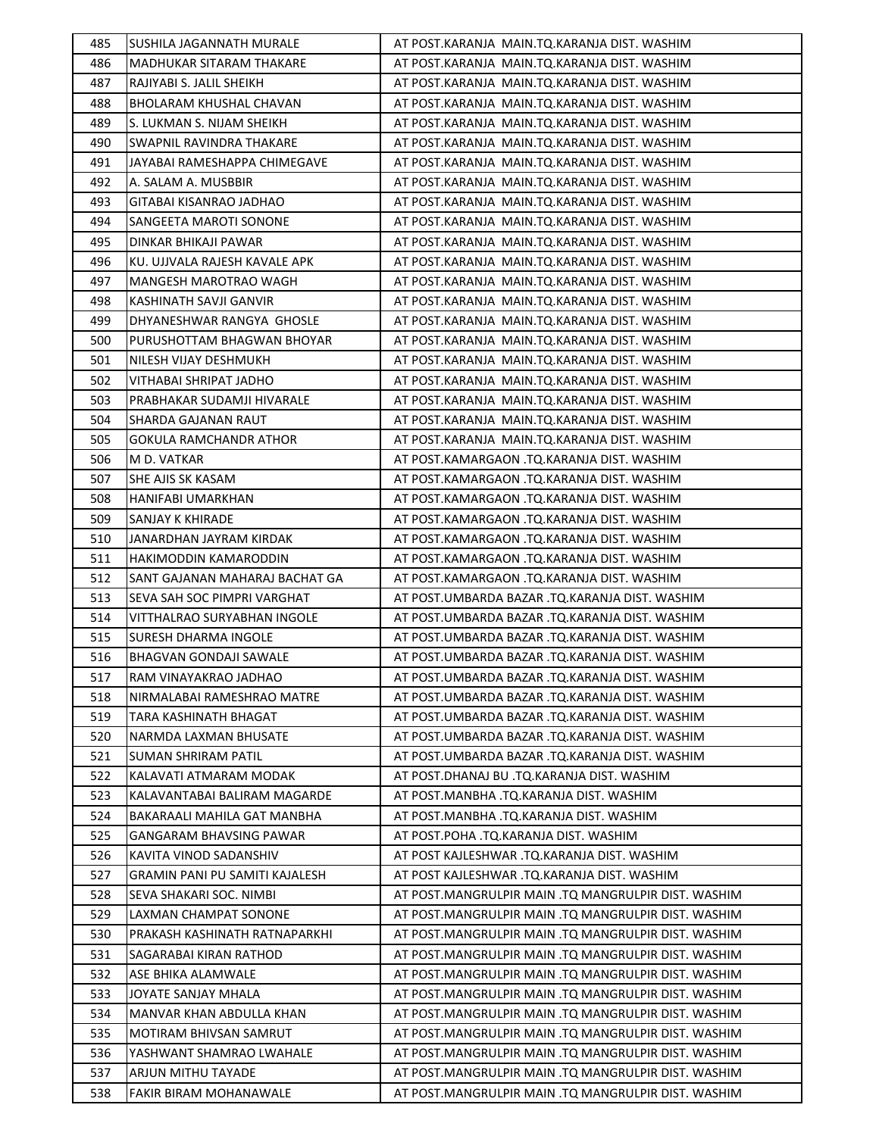| 485 | SUSHILA JAGANNATH MURALE       | AT POST.KARANJA MAIN.TO.KARANJA DIST. WASHIM        |
|-----|--------------------------------|-----------------------------------------------------|
| 486 | MADHUKAR SITARAM THAKARE       | AT POST.KARANJA MAIN.TQ.KARANJA DIST. WASHIM        |
| 487 | RAJIYABI S. JALIL SHEIKH       | AT POST.KARANJA MAIN.TQ.KARANJA DIST. WASHIM        |
| 488 | BHOLARAM KHUSHAL CHAVAN        | AT POST.KARANJA MAIN.TQ.KARANJA DIST. WASHIM        |
| 489 | S. LUKMAN S. NIJAM SHEIKH      | AT POST.KARANJA MAIN.TQ.KARANJA DIST. WASHIM        |
| 490 | SWAPNIL RAVINDRA THAKARE       | AT POST.KARANJA MAIN.TQ.KARANJA DIST. WASHIM        |
| 491 | JAYABAI RAMESHAPPA CHIMEGAVE   | AT POST.KARANJA MAIN.TQ.KARANJA DIST. WASHIM        |
| 492 | A. SALAM A. MUSBBIR            | AT POST.KARANJA MAIN.TQ.KARANJA DIST. WASHIM        |
| 493 | GITABAI KISANRAO JADHAO        | AT POST.KARANJA MAIN.TQ.KARANJA DIST. WASHIM        |
| 494 | SANGEETA MAROTI SONONE         | AT POST.KARANJA MAIN.TQ.KARANJA DIST. WASHIM        |
| 495 | DINKAR BHIKAJI PAWAR           | AT POST.KARANJA MAIN.TQ.KARANJA DIST. WASHIM        |
| 496 | KU. UJJVALA RAJESH KAVALE APK  | AT POST.KARANJA MAIN.TQ.KARANJA DIST. WASHIM        |
| 497 | MANGESH MAROTRAO WAGH          | AT POST.KARANJA MAIN.TQ.KARANJA DIST. WASHIM        |
| 498 | KASHINATH SAVJI GANVIR         | AT POST.KARANJA MAIN.TQ.KARANJA DIST. WASHIM        |
| 499 | DHYANESHWAR RANGYA GHOSLE      | AT POST.KARANJA MAIN.TQ.KARANJA DIST. WASHIM        |
| 500 | PURUSHOTTAM BHAGWAN BHOYAR     | AT POST.KARANJA MAIN.TQ.KARANJA DIST. WASHIM        |
| 501 | NILESH VIJAY DESHMUKH          | AT POST.KARANJA MAIN.TQ.KARANJA DIST. WASHIM        |
| 502 | VITHABAI SHRIPAT JADHO         | AT POST.KARANJA MAIN.TQ.KARANJA DIST. WASHIM        |
| 503 | PRABHAKAR SUDAMJI HIVARALE     | AT POST.KARANJA MAIN.TQ.KARANJA DIST. WASHIM        |
| 504 | SHARDA GAJANAN RAUT            | AT POST.KARANJA MAIN.TQ.KARANJA DIST. WASHIM        |
| 505 | GOKULA RAMCHANDR ATHOR         | AT POST.KARANJA MAIN.TQ.KARANJA DIST. WASHIM        |
| 506 | M D. VATKAR                    | AT POST.KAMARGAON .TQ.KARANJA DIST. WASHIM          |
| 507 | <b>SHE AJIS SK KASAM</b>       | AT POST.KAMARGAON .TQ.KARANJA DIST. WASHIM          |
| 508 | HANIFABI UMARKHAN              | AT POST.KAMARGAON .TQ.KARANJA DIST. WASHIM          |
| 509 | SANJAY K KHIRADE               | AT POST.KAMARGAON .TQ.KARANJA DIST. WASHIM          |
| 510 | JANARDHAN JAYRAM KIRDAK        | AT POST.KAMARGAON .TQ.KARANJA DIST. WASHIM          |
| 511 | HAKIMODDIN KAMARODDIN          | AT POST.KAMARGAON .TQ.KARANJA DIST. WASHIM          |
| 512 | SANT GAJANAN MAHARAJ BACHAT GA | AT POST.KAMARGAON .TQ.KARANJA DIST. WASHIM          |
| 513 | SEVA SAH SOC PIMPRI VARGHAT    | AT POST.UMBARDA BAZAR .TQ.KARANJA DIST. WASHIM      |
| 514 | VITTHALRAO SURYABHAN INGOLE    | AT POST.UMBARDA BAZAR .TQ.KARANJA DIST. WASHIM      |
| 515 | SURESH DHARMA INGOLE           | AT POST.UMBARDA BAZAR .TQ.KARANJA DIST. WASHIM      |
| 516 | BHAGVAN GONDAJI SAWALE         | AT POST.UMBARDA BAZAR .TQ.KARANJA DIST. WASHIM      |
| 517 | RAM VINAYAKRAO JADHAO          | AT POST.UMBARDA BAZAR .TQ.KARANJA DIST. WASHIM      |
| 518 | NIRMALABAI RAMESHRAO MATRE     | AT POST.UMBARDA BAZAR .TQ.KARANJA DIST. WASHIM      |
| 519 | TARA KASHINATH BHAGAT          | AT POST.UMBARDA BAZAR .TQ.KARANJA DIST. WASHIM      |
| 520 | NARMDA LAXMAN BHUSATE          | AT POST.UMBARDA BAZAR .TQ.KARANJA DIST. WASHIM      |
| 521 | <b>SUMAN SHRIRAM PATIL</b>     | AT POST.UMBARDA BAZAR .TQ.KARANJA DIST. WASHIM      |
| 522 | KALAVATI ATMARAM MODAK         | AT POST.DHANAJ BU .TQ.KARANJA DIST. WASHIM          |
| 523 | KALAVANTABAI BALIRAM MAGARDE   | AT POST.MANBHA .TQ.KARANJA DIST. WASHIM             |
| 524 | BAKARAALI MAHILA GAT MANBHA    | AT POST.MANBHA .TQ.KARANJA DIST. WASHIM             |
| 525 | GANGARAM BHAVSING PAWAR        | AT POST.POHA .TQ.KARANJA DIST. WASHIM               |
| 526 | KAVITA VINOD SADANSHIV         | AT POST KAJLESHWAR .TQ.KARANJA DIST. WASHIM         |
| 527 | GRAMIN PANI PU SAMITI KAJALESH | AT POST KAJLESHWAR .TQ.KARANJA DIST. WASHIM         |
| 528 | SEVA SHAKARI SOC. NIMBI        | AT POST.MANGRULPIR MAIN .TQ MANGRULPIR DIST. WASHIM |
| 529 | LAXMAN CHAMPAT SONONE          | AT POST.MANGRULPIR MAIN .TQ MANGRULPIR DIST. WASHIM |
| 530 | PRAKASH KASHINATH RATNAPARKHI  | AT POST.MANGRULPIR MAIN .TQ MANGRULPIR DIST. WASHIM |
| 531 | SAGARABAI KIRAN RATHOD         | AT POST.MANGRULPIR MAIN .TQ MANGRULPIR DIST. WASHIM |
| 532 | ASE BHIKA ALAMWALE             | AT POST.MANGRULPIR MAIN .TQ MANGRULPIR DIST. WASHIM |
| 533 | JOYATE SANJAY MHALA            | AT POST.MANGRULPIR MAIN .TQ MANGRULPIR DIST. WASHIM |
| 534 | MANVAR KHAN ABDULLA KHAN       | AT POST.MANGRULPIR MAIN .TQ MANGRULPIR DIST. WASHIM |
| 535 | MOTIRAM BHIVSAN SAMRUT         | AT POST.MANGRULPIR MAIN .TQ MANGRULPIR DIST. WASHIM |
| 536 | YASHWANT SHAMRAO LWAHALE       | AT POST.MANGRULPIR MAIN .TQ MANGRULPIR DIST. WASHIM |
| 537 | ARJUN MITHU TAYADE             | AT POST.MANGRULPIR MAIN .TQ MANGRULPIR DIST. WASHIM |
| 538 | FAKIR BIRAM MOHANAWALE         | AT POST.MANGRULPIR MAIN .TQ MANGRULPIR DIST. WASHIM |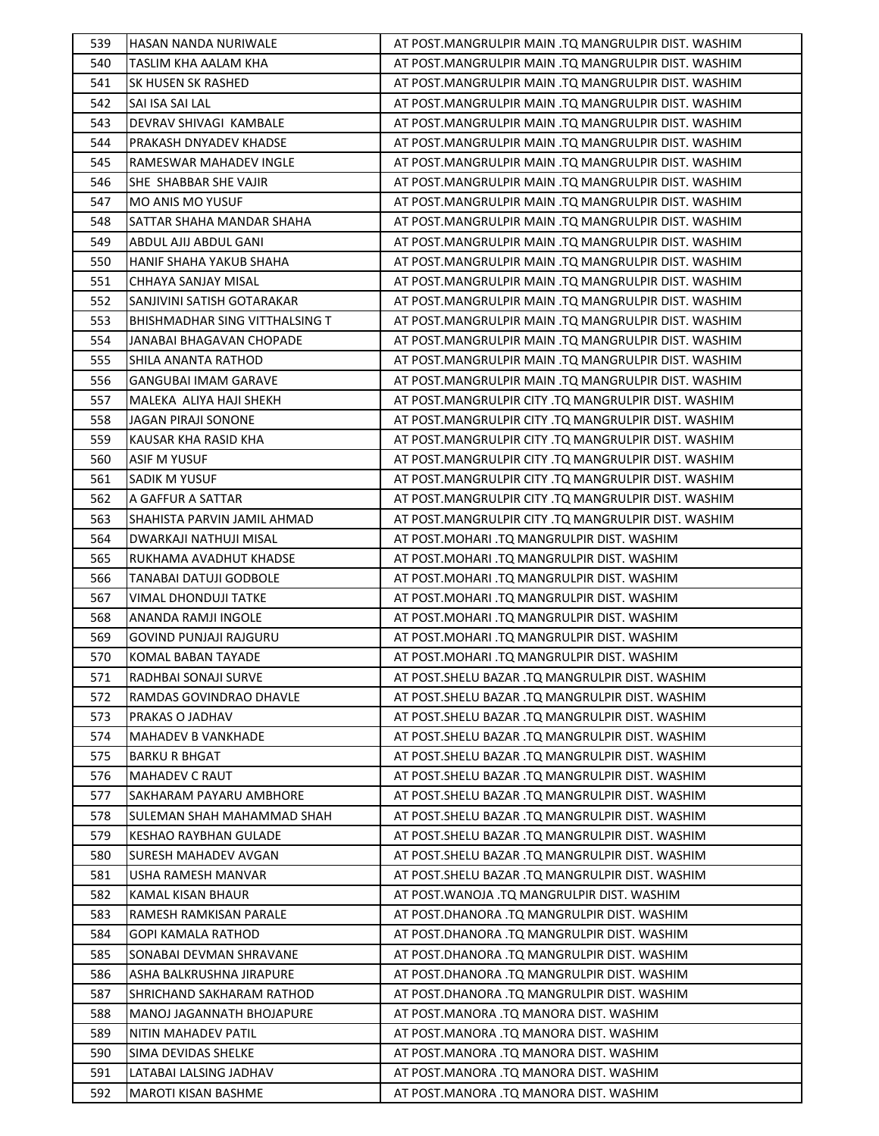| 539        | HASAN NANDA NURIWALE                                 | AT POST.MANGRULPIR MAIN .TQ MANGRULPIR DIST. WASHIM                              |
|------------|------------------------------------------------------|----------------------------------------------------------------------------------|
| 540        | TASLIM KHA AALAM KHA                                 | AT POST.MANGRULPIR MAIN .TQ MANGRULPIR DIST. WASHIM                              |
| 541        | SK HUSEN SK RASHED                                   | AT POST.MANGRULPIR MAIN .TQ MANGRULPIR DIST. WASHIM                              |
| 542        | SAI ISA SAI LAL                                      | AT POST.MANGRULPIR MAIN .TQ MANGRULPIR DIST. WASHIM                              |
| 543        | DEVRAV SHIVAGI KAMBALE                               | AT POST.MANGRULPIR MAIN .TQ MANGRULPIR DIST. WASHIM                              |
| 544        | PRAKASH DNYADEV KHADSE                               | AT POST.MANGRULPIR MAIN .TQ MANGRULPIR DIST. WASHIM                              |
| 545        | RAMESWAR MAHADEV INGLE                               | AT POST.MANGRULPIR MAIN .TQ MANGRULPIR DIST. WASHIM                              |
| 546        | SHE SHABBAR SHE VAJIR                                | AT POST.MANGRULPIR MAIN .TQ MANGRULPIR DIST. WASHIM                              |
| 547        | <b>MO ANIS MO YUSUF</b>                              | AT POST.MANGRULPIR MAIN .TQ MANGRULPIR DIST. WASHIM                              |
| 548        | SATTAR SHAHA MANDAR SHAHA                            | AT POST.MANGRULPIR MAIN .TQ MANGRULPIR DIST. WASHIM                              |
| 549        | ABDUL AJIJ ABDUL GANI                                | AT POST.MANGRULPIR MAIN .TQ MANGRULPIR DIST. WASHIM                              |
| 550        | HANIF SHAHA YAKUB SHAHA                              | AT POST.MANGRULPIR MAIN .TQ MANGRULPIR DIST. WASHIM                              |
| 551        | CHHAYA SANJAY MISAL                                  | AT POST.MANGRULPIR MAIN .TQ MANGRULPIR DIST. WASHIM                              |
| 552        | SANJIVINI SATISH GOTARAKAR                           | AT POST.MANGRULPIR MAIN .TQ MANGRULPIR DIST. WASHIM                              |
| 553        | BHISHMADHAR SING VITTHALSING T                       | AT POST.MANGRULPIR MAIN .TQ MANGRULPIR DIST. WASHIM                              |
| 554        | JANABAI BHAGAVAN CHOPADE                             | AT POST.MANGRULPIR MAIN .TQ MANGRULPIR DIST. WASHIM                              |
| 555        | SHILA ANANTA RATHOD                                  | AT POST.MANGRULPIR MAIN .TQ MANGRULPIR DIST. WASHIM                              |
| 556        | GANGUBAI IMAM GARAVE                                 | AT POST.MANGRULPIR MAIN .TQ MANGRULPIR DIST. WASHIM                              |
| 557        | MALEKA ALIYA HAJI SHEKH                              | AT POST.MANGRULPIR CITY .TQ MANGRULPIR DIST. WASHIM                              |
| 558        | <b>JAGAN PIRAJI SONONE</b>                           | AT POST.MANGRULPIR CITY .TQ MANGRULPIR DIST. WASHIM                              |
| 559        | KAUSAR KHA RASID KHA                                 | AT POST.MANGRULPIR CITY .TQ MANGRULPIR DIST. WASHIM                              |
| 560        | <b>ASIF M YUSUF</b>                                  | AT POST.MANGRULPIR CITY .TQ MANGRULPIR DIST. WASHIM                              |
| 561        | SADIK M YUSUF                                        | AT POST.MANGRULPIR CITY .TQ MANGRULPIR DIST. WASHIM                              |
| 562        | A GAFFUR A SATTAR                                    | AT POST.MANGRULPIR CITY .TQ MANGRULPIR DIST. WASHIM                              |
| 563        | SHAHISTA PARVIN JAMIL AHMAD                          | AT POST.MANGRULPIR CITY .TQ MANGRULPIR DIST. WASHIM                              |
| 564        | DWARKAJI NATHUJI MISAL                               | AT POST.MOHARI .TQ MANGRULPIR DIST. WASHIM                                       |
| 565        | RUKHAMA AVADHUT KHADSE                               | AT POST.MOHARI .TQ MANGRULPIR DIST. WASHIM                                       |
| 566        | TANABAI DATUJI GODBOLE                               | AT POST.MOHARI .TQ MANGRULPIR DIST. WASHIM                                       |
| 567        | VIMAL DHONDUJI TATKE                                 | AT POST.MOHARI .TQ MANGRULPIR DIST. WASHIM                                       |
|            |                                                      |                                                                                  |
| 568        | ANANDA RAMJI INGOLE                                  | AT POST.MOHARI .TQ MANGRULPIR DIST. WASHIM                                       |
| 569        | <b>GOVIND PUNJAJI RAJGURU</b>                        | AT POST.MOHARI .TQ MANGRULPIR DIST. WASHIM                                       |
| 570        | KOMAL BABAN TAYADE                                   | AT POST.MOHARI .TQ MANGRULPIR DIST. WASHIM                                       |
| 571        | RADHBAI SONAJI SURVE                                 | AT POST.SHELU BAZAR .TQ MANGRULPIR DIST. WASHIM                                  |
| 572        | RAMDAS GOVINDRAO DHAVLE                              | AT POST. SHELU BAZAR .TQ MANGRULPIR DIST. WASHIM                                 |
| 573        | PRAKAS O JADHAV                                      | AT POST. SHELU BAZAR .TQ MANGRULPIR DIST. WASHIM                                 |
| 574        | <b>MAHADEV B VANKHADE</b>                            | AT POST.SHELU BAZAR .TQ MANGRULPIR DIST. WASHIM                                  |
| 575        | <b>BARKU R BHGAT</b>                                 | AT POST.SHELU BAZAR .TQ MANGRULPIR DIST. WASHIM                                  |
| 576        | <b>MAHADEV C RAUT</b>                                | AT POST. SHELU BAZAR .TQ MANGRULPIR DIST. WASHIM                                 |
| 577        | SAKHARAM PAYARU AMBHORE                              | AT POST. SHELU BAZAR .TQ MANGRULPIR DIST. WASHIM                                 |
| 578        | SULEMAN SHAH MAHAMMAD SHAH                           | AT POST. SHELU BAZAR .TQ MANGRULPIR DIST. WASHIM                                 |
| 579        | KESHAO RAYBHAN GULADE                                | AT POST. SHELU BAZAR .TQ MANGRULPIR DIST. WASHIM                                 |
| 580        | SURESH MAHADEV AVGAN                                 | AT POST.SHELU BAZAR .TQ MANGRULPIR DIST. WASHIM                                  |
| 581        | USHA RAMESH MANVAR                                   | AT POST. SHELU BAZAR .TQ MANGRULPIR DIST. WASHIM                                 |
| 582        | KAMAL KISAN BHAUR                                    | AT POST. WANOJA .TQ MANGRULPIR DIST. WASHIM                                      |
| 583        | RAMESH RAMKISAN PARALE                               | AT POST.DHANORA .TQ MANGRULPIR DIST. WASHIM                                      |
| 584        | <b>GOPI KAMALA RATHOD</b>                            | AT POST.DHANORA .TQ MANGRULPIR DIST. WASHIM                                      |
| 585        | SONABAI DEVMAN SHRAVANE                              | AT POST.DHANORA .TQ MANGRULPIR DIST. WASHIM                                      |
| 586        | ASHA BALKRUSHNA JIRAPURE                             | AT POST.DHANORA .TQ MANGRULPIR DIST. WASHIM                                      |
| 587        | SHRICHAND SAKHARAM RATHOD                            | AT POST.DHANORA .TQ MANGRULPIR DIST. WASHIM                                      |
| 588        | MANOJ JAGANNATH BHOJAPURE                            | AT POST.MANORA .TQ MANORA DIST. WASHIM                                           |
| 589        | NITIN MAHADEV PATIL                                  | AT POST.MANORA .TQ MANORA DIST. WASHIM                                           |
| 590        | SIMA DEVIDAS SHELKE                                  | AT POST.MANORA .TQ MANORA DIST. WASHIM                                           |
| 591<br>592 | LATABAI LALSING JADHAV<br><b>MAROTI KISAN BASHME</b> | AT POST.MANORA .TQ MANORA DIST. WASHIM<br>AT POST.MANORA .TQ MANORA DIST. WASHIM |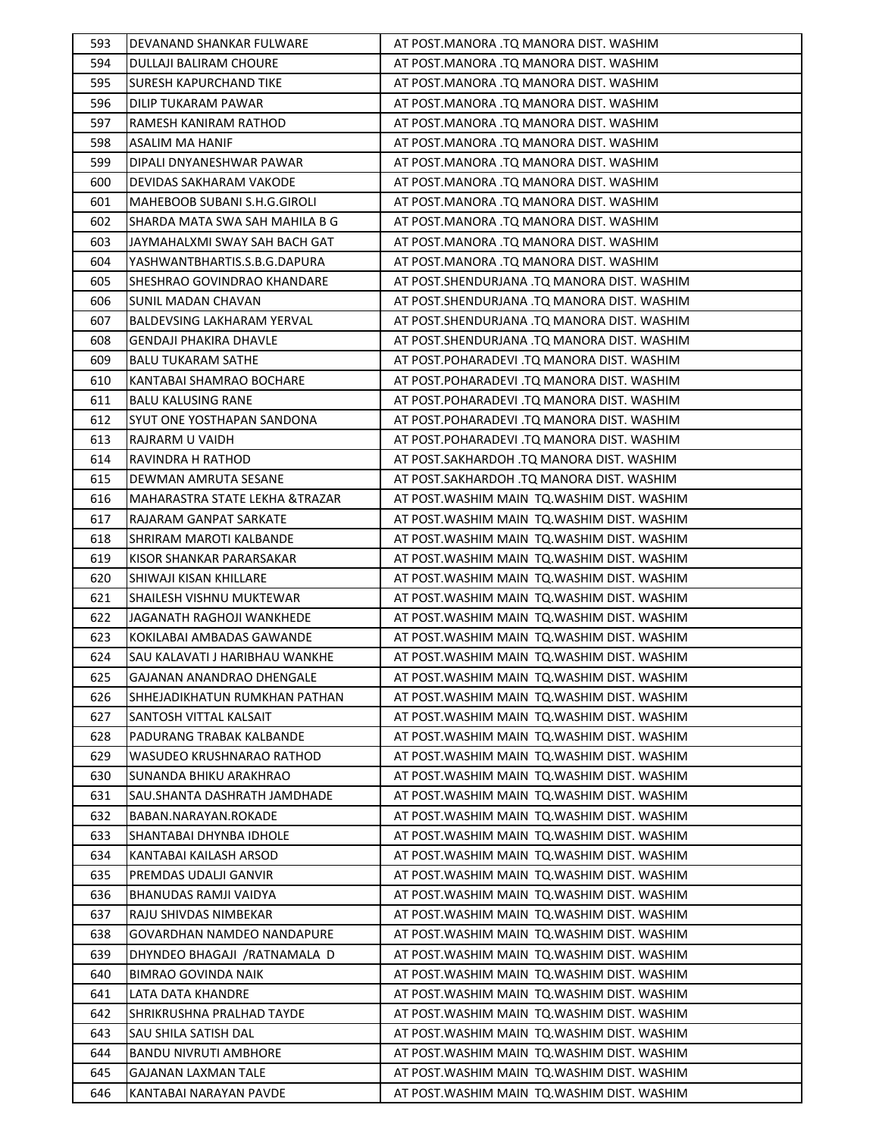| 593 | DEVANAND SHANKAR FULWARE          | AT POST.MANORA .TQ MANORA DIST. WASHIM       |
|-----|-----------------------------------|----------------------------------------------|
| 594 | DULLAJI BALIRAM CHOURE            | AT POST.MANORA .TQ MANORA DIST. WASHIM       |
| 595 | <b>SURESH KAPURCHAND TIKE</b>     | AT POST.MANORA .TQ MANORA DIST. WASHIM       |
| 596 | DILIP TUKARAM PAWAR               | AT POST.MANORA .TQ MANORA DIST. WASHIM       |
| 597 | RAMESH KANIRAM RATHOD             | AT POST.MANORA .TQ MANORA DIST. WASHIM       |
| 598 | <b>ASALIM MA HANIF</b>            | AT POST.MANORA .TQ MANORA DIST. WASHIM       |
| 599 | DIPALI DNYANESHWAR PAWAR          | AT POST.MANORA .TQ MANORA DIST. WASHIM       |
| 600 | DEVIDAS SAKHARAM VAKODE           | AT POST.MANORA .TQ MANORA DIST. WASHIM       |
| 601 | MAHEBOOB SUBANI S.H.G.GIROLI      | AT POST.MANORA .TQ MANORA DIST. WASHIM       |
| 602 | SHARDA MATA SWA SAH MAHILA B G    | AT POST.MANORA .TQ MANORA DIST. WASHIM       |
| 603 | JAYMAHALXMI SWAY SAH BACH GAT     | AT POST.MANORA .TQ MANORA DIST. WASHIM       |
| 604 | YASHWANTBHARTIS.S.B.G.DAPURA      | AT POST.MANORA .TQ MANORA DIST. WASHIM       |
| 605 | SHESHRAO GOVINDRAO KHANDARE       | AT POST.SHENDURJANA .TQ MANORA DIST. WASHIM  |
| 606 | <b>SUNIL MADAN CHAVAN</b>         | AT POST.SHENDURJANA .TQ MANORA DIST. WASHIM  |
| 607 | <b>BALDEVSING LAKHARAM YERVAL</b> | AT POST.SHENDURJANA .TQ MANORA DIST. WASHIM  |
| 608 | <b>GENDAJI PHAKIRA DHAVLE</b>     | AT POST.SHENDURJANA .TQ MANORA DIST. WASHIM  |
| 609 | <b>BALU TUKARAM SATHE</b>         | AT POST.POHARADEVI .TQ MANORA DIST. WASHIM   |
| 610 | KANTABAI SHAMRAO BOCHARE          | AT POST.POHARADEVI .TQ MANORA DIST. WASHIM   |
| 611 | <b>BALU KALUSING RANE</b>         | AT POST.POHARADEVI .TQ MANORA DIST. WASHIM   |
| 612 | SYUT ONE YOSTHAPAN SANDONA        | AT POST.POHARADEVI .TQ MANORA DIST. WASHIM   |
| 613 | RAJRARM U VAIDH                   | AT POST.POHARADEVI .TQ MANORA DIST. WASHIM   |
| 614 | RAVINDRA H RATHOD                 | AT POST.SAKHARDOH .TQ MANORA DIST. WASHIM    |
| 615 | DEWMAN AMRUTA SESANE              | AT POST.SAKHARDOH .TQ MANORA DIST. WASHIM    |
| 616 | MAHARASTRA STATE LEKHA &TRAZAR    | AT POST.WASHIM MAIN TQ.WASHIM DIST. WASHIM   |
| 617 | RAJARAM GANPAT SARKATE            | AT POST. WASHIM MAIN TO. WASHIM DIST. WASHIM |
| 618 | SHRIRAM MAROTI KALBANDE           | AT POST. WASHIM MAIN TO. WASHIM DIST. WASHIM |
| 619 | KISOR SHANKAR PARARSAKAR          | AT POST. WASHIM MAIN TO. WASHIM DIST. WASHIM |
| 620 | SHIWAJI KISAN KHILLARE            | AT POST. WASHIM MAIN TQ. WASHIM DIST. WASHIM |
| 621 | SHAILESH VISHNU MUKTEWAR          | AT POST. WASHIM MAIN TO. WASHIM DIST. WASHIM |
| 622 | JAGANATH RAGHOJI WANKHEDE         | AT POST. WASHIM MAIN TO. WASHIM DIST. WASHIM |
| 623 | KOKILABAI AMBADAS GAWANDE         | AT POST. WASHIM MAIN TO. WASHIM DIST. WASHIM |
| 624 | SAU KALAVATI J HARIBHAU WANKHE    | AT POST. WASHIM MAIN TQ. WASHIM DIST. WASHIM |
| 625 | GAJANAN ANANDRAO DHENGALE         | AT POST. WASHIM MAIN TQ. WASHIM DIST. WASHIM |
| 626 | SHHEJADIKHATUN RUMKHAN PATHAN     | AT POST.WASHIM MAIN  TQ.WASHIM DIST. WASHIM  |
| 627 | SANTOSH VITTAL KALSAIT            | AT POST. WASHIM MAIN TO. WASHIM DIST. WASHIM |
| 628 | PADURANG TRABAK KALBANDE          | AT POST.WASHIM MAIN  TQ.WASHIM DIST. WASHIM  |
| 629 | WASUDEO KRUSHNARAO RATHOD         | AT POST. WASHIM MAIN TO. WASHIM DIST. WASHIM |
| 630 | <b>SUNANDA BHIKU ARAKHRAO</b>     | AT POST. WASHIM MAIN TO. WASHIM DIST. WASHIM |
| 631 | SAU.SHANTA DASHRATH JAMDHADE      | AT POST.WASHIM MAIN TQ.WASHIM DIST. WASHIM   |
| 632 | BABAN.NARAYAN.ROKADE              | AT POST. WASHIM MAIN TO. WASHIM DIST. WASHIM |
| 633 | SHANTABAI DHYNBA IDHOLE           | AT POST.WASHIM MAIN TQ.WASHIM DIST. WASHIM   |
| 634 | KANTABAI KAILASH ARSOD            | AT POST. WASHIM MAIN TO. WASHIM DIST. WASHIM |
| 635 | PREMDAS UDALJI GANVIR             | AT POST. WASHIM MAIN TO. WASHIM DIST. WASHIM |
| 636 | BHANUDAS RAMJI VAIDYA             | AT POST.WASHIM MAIN  TQ.WASHIM DIST. WASHIM  |
| 637 | RAJU SHIVDAS NIMBEKAR             | AT POST. WASHIM MAIN TO. WASHIM DIST. WASHIM |
| 638 | GOVARDHAN NAMDEO NANDAPURE        | AT POST. WASHIM MAIN TO. WASHIM DIST. WASHIM |
| 639 | DHYNDEO BHAGAJI / RATNAMALA D     | AT POST. WASHIM MAIN TO. WASHIM DIST. WASHIM |
| 640 | <b>BIMRAO GOVINDA NAIK</b>        | AT POST.WASHIM MAIN  TQ.WASHIM DIST. WASHIM  |
| 641 | LATA DATA KHANDRE                 | AT POST. WASHIM MAIN TO. WASHIM DIST. WASHIM |
| 642 | SHRIKRUSHNA PRALHAD TAYDE         | AT POST. WASHIM MAIN TO. WASHIM DIST. WASHIM |
| 643 | SAU SHILA SATISH DAL              | AT POST.WASHIM MAIN TQ.WASHIM DIST. WASHIM   |
| 644 | <b>BANDU NIVRUTI AMBHORE</b>      | AT POST. WASHIM MAIN TO. WASHIM DIST. WASHIM |
| 645 | GAJANAN LAXMAN TALE               | AT POST. WASHIM MAIN TO. WASHIM DIST. WASHIM |
| 646 | KANTABAI NARAYAN PAVDE            | AT POST. WASHIM MAIN TQ. WASHIM DIST. WASHIM |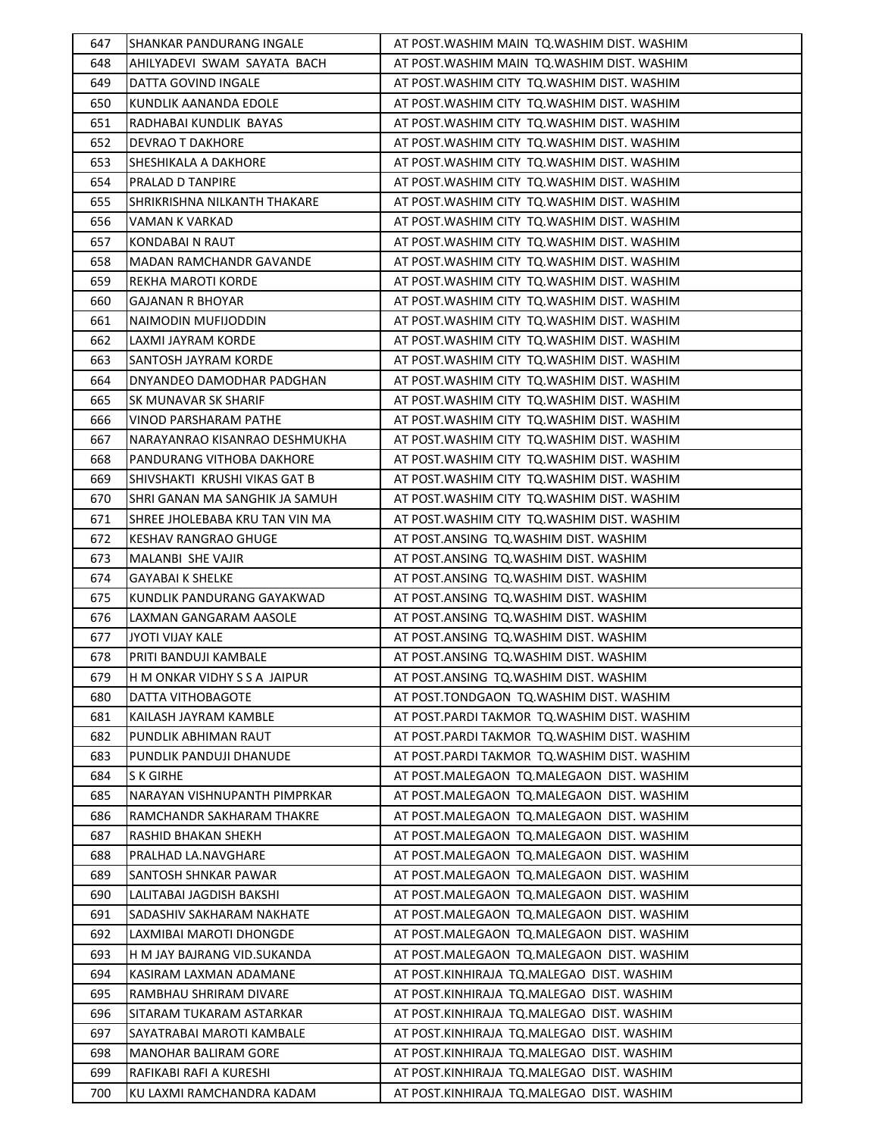| 647        | SHANKAR PANDURANG INGALE                             | AT POST. WASHIM MAIN TO. WASHIM DIST. WASHIM                                           |
|------------|------------------------------------------------------|----------------------------------------------------------------------------------------|
| 648        | AHILYADEVI SWAM SAYATA BACH                          | AT POST. WASHIM MAIN TQ. WASHIM DIST. WASHIM                                           |
| 649        | DATTA GOVIND INGALE                                  | AT POST. WASHIM CITY TO. WASHIM DIST. WASHIM                                           |
| 650        | KUNDLIK AANANDA EDOLE                                | AT POST. WASHIM CITY TO. WASHIM DIST. WASHIM                                           |
| 651        | RADHABAI KUNDLIK BAYAS                               | AT POST. WASHIM CITY TO. WASHIM DIST. WASHIM                                           |
| 652        | <b>DEVRAO T DAKHORE</b>                              | AT POST. WASHIM CITY TO. WASHIM DIST. WASHIM                                           |
| 653        | SHESHIKALA A DAKHORE                                 | AT POST. WASHIM CITY TO. WASHIM DIST. WASHIM                                           |
| 654        | PRALAD D TANPIRE                                     | AT POST. WASHIM CITY TQ. WASHIM DIST. WASHIM                                           |
| 655        | SHRIKRISHNA NILKANTH THAKARE                         | AT POST. WASHIM CITY TQ. WASHIM DIST. WASHIM                                           |
| 656        | VAMAN K VARKAD                                       | AT POST. WASHIM CITY TO. WASHIM DIST. WASHIM                                           |
| 657        | KONDABAI N RAUT                                      | AT POST. WASHIM CITY TO. WASHIM DIST. WASHIM                                           |
| 658        | MADAN RAMCHANDR GAVANDE                              | AT POST. WASHIM CITY TO. WASHIM DIST. WASHIM                                           |
| 659        | REKHA MAROTI KORDE                                   | AT POST. WASHIM CITY TO. WASHIM DIST. WASHIM                                           |
| 660        | <b>GAJANAN R BHOYAR</b>                              | AT POST. WASHIM CITY TO. WASHIM DIST. WASHIM                                           |
| 661        | NAIMODIN MUFIJODDIN                                  | AT POST. WASHIM CITY TO. WASHIM DIST. WASHIM                                           |
| 662        | LAXMI JAYRAM KORDE                                   | AT POST. WASHIM CITY TO. WASHIM DIST. WASHIM                                           |
| 663        | SANTOSH JAYRAM KORDE                                 | AT POST. WASHIM CITY TO. WASHIM DIST. WASHIM                                           |
| 664        | DNYANDEO DAMODHAR PADGHAN                            | AT POST. WASHIM CITY TO. WASHIM DIST. WASHIM                                           |
| 665        | SK MUNAVAR SK SHARIF                                 | AT POST. WASHIM CITY TQ. WASHIM DIST. WASHIM                                           |
| 666        | VINOD PARSHARAM PATHE                                | AT POST. WASHIM CITY TO. WASHIM DIST. WASHIM                                           |
| 667        | NARAYANRAO KISANRAO DESHMUKHA                        | AT POST. WASHIM CITY TO. WASHIM DIST. WASHIM                                           |
| 668        | PANDURANG VITHOBA DAKHORE                            | AT POST. WASHIM CITY TO. WASHIM DIST. WASHIM                                           |
| 669        | SHIVSHAKTI KRUSHI VIKAS GAT B                        | AT POST. WASHIM CITY TO. WASHIM DIST. WASHIM                                           |
| 670        | SHRI GANAN MA SANGHIK JA SAMUH                       | AT POST. WASHIM CITY TO. WASHIM DIST. WASHIM                                           |
| 671        | SHREE JHOLEBABA KRU TAN VIN MA                       | AT POST. WASHIM CITY TO. WASHIM DIST. WASHIM                                           |
| 672        | KESHAV RANGRAO GHUGE                                 | AT POST.ANSING TQ.WASHIM DIST. WASHIM                                                  |
| 673        | MALANBI SHE VAJIR                                    | AT POST.ANSING TQ.WASHIM DIST. WASHIM                                                  |
| 674        | <b>GAYABAI K SHELKE</b>                              | AT POST.ANSING TQ.WASHIM DIST. WASHIM                                                  |
| 675        | KUNDLIK PANDURANG GAYAKWAD                           | AT POST.ANSING TQ.WASHIM DIST. WASHIM                                                  |
| 676        | LAXMAN GANGARAM AASOLE                               | AT POST.ANSING TQ.WASHIM DIST. WASHIM                                                  |
| 677        | JYOTI VIJAY KALE                                     | AT POST.ANSING TQ.WASHIM DIST. WASHIM                                                  |
| 678        | PRITI BANDUJI KAMBALE                                | AT POST.ANSING TQ.WASHIM DIST. WASHIM                                                  |
| 679        | H M ONKAR VIDHY S S A JAIPUR                         | AT POST.ANSING TQ.WASHIM DIST. WASHIM                                                  |
| 680        |                                                      |                                                                                        |
|            | DATTA VITHOBAGOTE                                    | AT POST.TONDGAON TQ.WASHIM DIST. WASHIM                                                |
| 681        | KAILASH JAYRAM KAMBLE                                | AT POST. PARDI TAKMOR TQ. WASHIM DIST. WASHIM                                          |
| 682        | PUNDLIK ABHIMAN RAUT                                 | AT POST.PARDI TAKMOR TQ.WASHIM DIST. WASHIM                                            |
| 683        | PUNDLIK PANDUJI DHANUDE                              | AT POST.PARDI TAKMOR TO.WASHIM DIST. WASHIM                                            |
| 684        | S K GIRHE                                            | AT POST.MALEGAON TQ.MALEGAON DIST. WASHIM                                              |
| 685        | NARAYAN VISHNUPANTH PIMPRKAR                         | AT POST.MALEGAON TQ.MALEGAON DIST. WASHIM                                              |
| 686        | RAMCHANDR SAKHARAM THAKRE                            | AT POST.MALEGAON TQ.MALEGAON DIST. WASHIM                                              |
| 687        | RASHID BHAKAN SHEKH                                  | AT POST.MALEGAON TQ.MALEGAON DIST. WASHIM                                              |
| 688        | PRALHAD LA.NAVGHARE                                  | AT POST.MALEGAON TQ.MALEGAON DIST. WASHIM                                              |
| 689        | SANTOSH SHNKAR PAWAR                                 | AT POST.MALEGAON TQ.MALEGAON DIST. WASHIM                                              |
| 690        | LALITABAI JAGDISH BAKSHI                             | AT POST.MALEGAON TQ.MALEGAON DIST. WASHIM                                              |
| 691        | SADASHIV SAKHARAM NAKHATE                            | AT POST.MALEGAON TQ.MALEGAON DIST. WASHIM                                              |
| 692        | LAXMIBAI MAROTI DHONGDE                              | AT POST.MALEGAON TQ.MALEGAON DIST. WASHIM                                              |
| 693        | H M JAY BAJRANG VID.SUKANDA                          | AT POST.MALEGAON TQ.MALEGAON DIST. WASHIM                                              |
| 694        | KASIRAM LAXMAN ADAMANE                               | AT POST.KINHIRAJA TQ.MALEGAO DIST. WASHIM                                              |
| 695        | RAMBHAU SHRIRAM DIVARE                               | AT POST.KINHIRAJA TQ.MALEGAO DIST. WASHIM                                              |
| 696        | SITARAM TUKARAM ASTARKAR                             | AT POST.KINHIRAJA TQ.MALEGAO DIST. WASHIM                                              |
| 697        | SAYATRABAI MAROTI KAMBALE                            | AT POST.KINHIRAJA TQ.MALEGAO DIST. WASHIM                                              |
| 698        | MANOHAR BALIRAM GORE                                 | AT POST.KINHIRAJA TQ.MALEGAO DIST. WASHIM                                              |
| 699<br>700 | RAFIKABI RAFI A KURESHI<br>KU LAXMI RAMCHANDRA KADAM | AT POST.KINHIRAJA TQ.MALEGAO DIST. WASHIM<br>AT POST.KINHIRAJA TQ.MALEGAO DIST. WASHIM |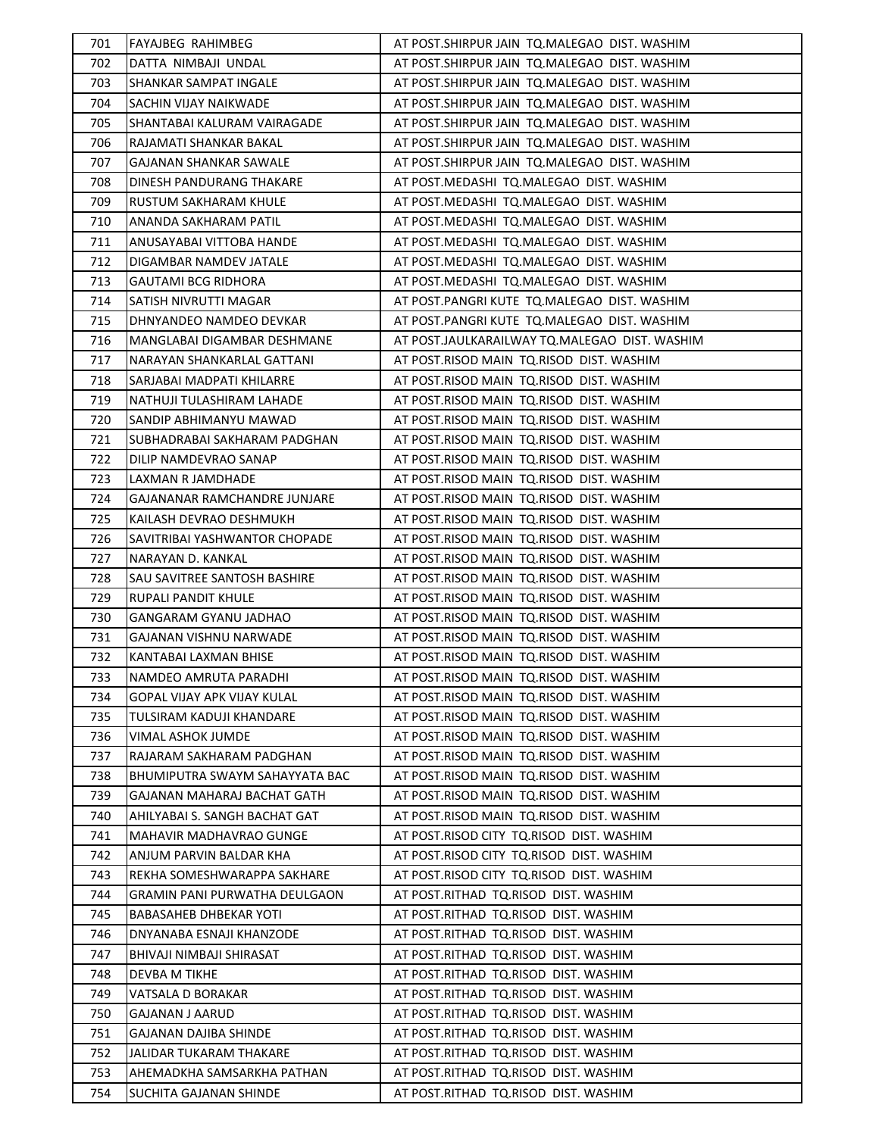| 701 | <b>FAYAJBEG RAHIMBEG</b>       | AT POST. SHIRPUR JAIN TO. MALEGAO DIST. WASHIM |
|-----|--------------------------------|------------------------------------------------|
| 702 | DATTA NIMBAJI UNDAL            | AT POST. SHIRPUR JAIN TO. MALEGAO DIST. WASHIM |
| 703 | SHANKAR SAMPAT INGALE          | AT POST. SHIRPUR JAIN TO. MALEGAO DIST. WASHIM |
| 704 | SACHIN VIJAY NAIKWADE          | AT POST. SHIRPUR JAIN TO. MALEGAO DIST. WASHIM |
| 705 | SHANTABAI KALURAM VAIRAGADE    | AT POST. SHIRPUR JAIN TO. MALEGAO DIST. WASHIM |
| 706 | RAJAMATI SHANKAR BAKAL         | AT POST. SHIRPUR JAIN TO. MALEGAO DIST. WASHIM |
| 707 | GAJANAN SHANKAR SAWALE         | AT POST.SHIRPUR JAIN TQ.MALEGAO DIST. WASHIM   |
| 708 | DINESH PANDURANG THAKARE       | AT POST.MEDASHI TQ.MALEGAO DIST. WASHIM        |
| 709 | RUSTUM SAKHARAM KHULE          | AT POST.MEDASHI TQ.MALEGAO DIST. WASHIM        |
| 710 | ANANDA SAKHARAM PATIL          | AT POST.MEDASHI TQ.MALEGAO DIST. WASHIM        |
| 711 | ANUSAYABAI VITTOBA HANDE       | AT POST.MEDASHI TQ.MALEGAO DIST. WASHIM        |
| 712 | DIGAMBAR NAMDEV JATALE         | AT POST.MEDASHI TQ.MALEGAO DIST. WASHIM        |
| 713 | GAUTAMI BCG RIDHORA            | AT POST.MEDASHI TQ.MALEGAO DIST. WASHIM        |
| 714 | SATISH NIVRUTTI MAGAR          | AT POST.PANGRI KUTE TQ.MALEGAO DIST. WASHIM    |
| 715 | DHNYANDEO NAMDEO DEVKAR        | AT POST.PANGRI KUTE TQ.MALEGAO DIST. WASHIM    |
| 716 | MANGLABAI DIGAMBAR DESHMANE    | AT POST.JAULKARAILWAY TQ.MALEGAO DIST. WASHIM  |
| 717 | NARAYAN SHANKARLAL GATTANI     | AT POST.RISOD MAIN TQ.RISOD DIST. WASHIM       |
| 718 | SARJABAI MADPATI KHILARRE      | AT POST.RISOD MAIN TQ.RISOD DIST. WASHIM       |
| 719 | NATHUJI TULASHIRAM LAHADE      | AT POST.RISOD MAIN TQ.RISOD DIST. WASHIM       |
| 720 | SANDIP ABHIMANYU MAWAD         | AT POST.RISOD MAIN TQ.RISOD DIST. WASHIM       |
| 721 | SUBHADRABAI SAKHARAM PADGHAN   | AT POST.RISOD MAIN TQ.RISOD DIST. WASHIM       |
| 722 | DILIP NAMDEVRAO SANAP          | AT POST.RISOD MAIN TQ.RISOD DIST. WASHIM       |
| 723 | LAXMAN R JAMDHADE              | AT POST.RISOD MAIN TQ.RISOD DIST. WASHIM       |
| 724 | GAJANANAR RAMCHANDRE JUNJARE   | AT POST.RISOD MAIN  TQ.RISOD  DIST. WASHIM     |
| 725 | KAILASH DEVRAO DESHMUKH        | AT POST.RISOD MAIN TQ.RISOD DIST. WASHIM       |
| 726 | SAVITRIBAI YASHWANTOR CHOPADE  | AT POST.RISOD MAIN TQ.RISOD DIST. WASHIM       |
| 727 | NARAYAN D. KANKAL              | AT POST.RISOD MAIN TQ.RISOD DIST. WASHIM       |
| 728 | SAU SAVITREE SANTOSH BASHIRE   | AT POST.RISOD MAIN TQ.RISOD DIST. WASHIM       |
| 729 | <b>RUPALI PANDIT KHULE</b>     | AT POST.RISOD MAIN TQ.RISOD DIST. WASHIM       |
| 730 | GANGARAM GYANU JADHAO          | AT POST.RISOD MAIN TQ.RISOD DIST. WASHIM       |
| 731 | GAJANAN VISHNU NARWADE         | AT POST.RISOD MAIN TQ.RISOD DIST. WASHIM       |
| 732 | KANTABAI LAXMAN BHISE          | AT POST.RISOD MAIN TQ.RISOD DIST. WASHIM       |
| 733 | NAMDEO AMRUTA PARADHI          | AT POST.RISOD MAIN TQ.RISOD DIST. WASHIM       |
| 734 | GOPAL VIJAY APK VIJAY KULAL    | AT POST.RISOD MAIN TQ.RISOD DIST. WASHIM       |
| 735 | TULSIRAM KADUJI KHANDARE       | AT POST.RISOD MAIN TQ.RISOD DIST. WASHIM       |
| 736 | VIMAL ASHOK JUMDE              | AT POST.RISOD MAIN TQ.RISOD DIST. WASHIM       |
| 737 | RAJARAM SAKHARAM PADGHAN       | AT POST.RISOD MAIN TQ.RISOD DIST. WASHIM       |
| 738 | BHUMIPUTRA SWAYM SAHAYYATA BAC | AT POST.RISOD MAIN TQ.RISOD DIST. WASHIM       |
| 739 | GAJANAN MAHARAJ BACHAT GATH    | AT POST.RISOD MAIN TQ.RISOD DIST. WASHIM       |
| 740 | AHILYABAI S. SANGH BACHAT GAT  | AT POST.RISOD MAIN TQ.RISOD DIST. WASHIM       |
| 741 | MAHAVIR MADHAVRAO GUNGE        | AT POST.RISOD CITY TQ.RISOD DIST. WASHIM       |
| 742 | ANJUM PARVIN BALDAR KHA        | AT POST.RISOD CITY TQ.RISOD DIST. WASHIM       |
| 743 | REKHA SOMESHWARAPPA SAKHARE    | AT POST.RISOD CITY TQ.RISOD DIST. WASHIM       |
| 744 | GRAMIN PANI PURWATHA DEULGAON  | AT POST.RITHAD TQ.RISOD DIST. WASHIM           |
| 745 | BABASAHEB DHBEKAR YOTI         | AT POST.RITHAD TQ.RISOD DIST. WASHIM           |
| 746 | DNYANABA ESNAJI KHANZODE       | AT POST.RITHAD TQ.RISOD DIST. WASHIM           |
| 747 | BHIVAJI NIMBAJI SHIRASAT       | AT POST.RITHAD TQ.RISOD DIST. WASHIM           |
| 748 | DEVBA M TIKHE                  | AT POST.RITHAD TQ.RISOD DIST. WASHIM           |
| 749 | VATSALA D BORAKAR              | AT POST.RITHAD TQ.RISOD DIST. WASHIM           |
| 750 | GAJANAN J AARUD                | AT POST.RITHAD TQ.RISOD DIST. WASHIM           |
| 751 | GAJANAN DAJIBA SHINDE          | AT POST.RITHAD TQ.RISOD DIST. WASHIM           |
| 752 | JALIDAR TUKARAM THAKARE        | AT POST.RITHAD TQ.RISOD DIST. WASHIM           |
| 753 | AHEMADKHA SAMSARKHA PATHAN     | AT POST.RITHAD TQ.RISOD DIST. WASHIM           |
| 754 | SUCHITA GAJANAN SHINDE         | AT POST.RITHAD TQ.RISOD DIST. WASHIM           |